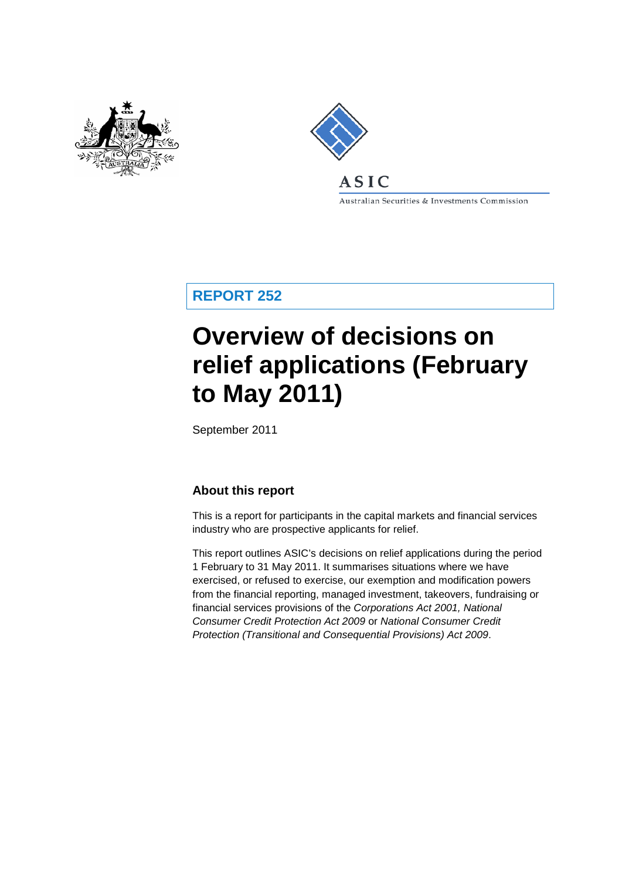

<span id="page-0-0"></span>

Australian Securities & Investments Commission

**REPORT 252**

# **Overview of decisions on relief applications (February to May 2011)**

September 2011

## **About this report**

This is a report for participants in the capital markets and financial services industry who are prospective applicants for relief.

This report outlines ASIC's decisions on relief applications during the period 1 February to 31 May 2011. It summarises situations where we have exercised, or refused to exercise, our exemption and modification powers from the financial reporting, managed investment, takeovers, fundraising or financial services provisions of the *Corporations Act 2001, National Consumer Credit Protection Act 2009* or *National Consumer Credit Protection (Transitional and Consequential Provisions) Act 2009*.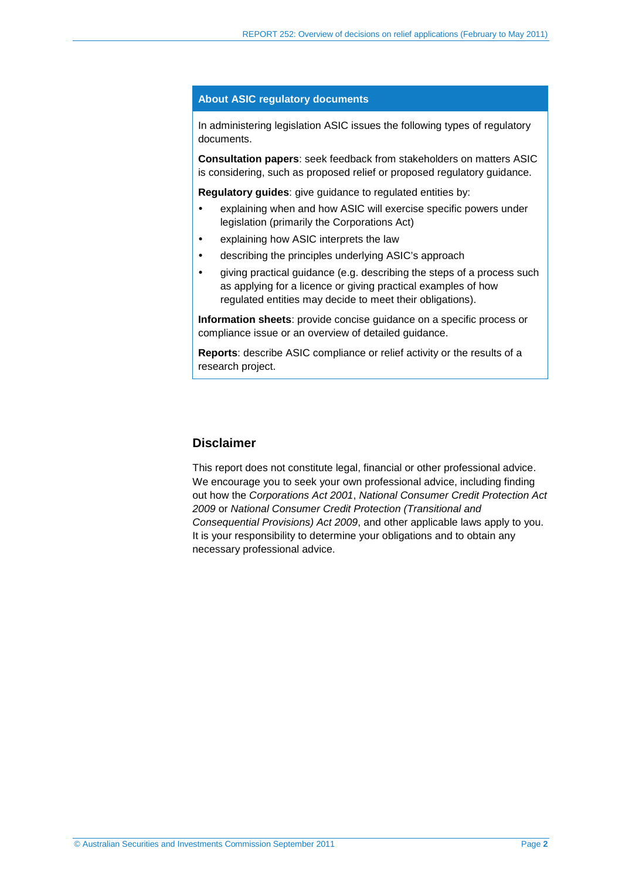#### **About ASIC regulatory documents**

In administering legislation ASIC issues the following types of regulatory documents.

**Consultation papers**: seek feedback from stakeholders on matters ASIC is considering, such as proposed relief or proposed regulatory guidance.

**Regulatory guides**: give guidance to regulated entities by:

- explaining when and how ASIC will exercise specific powers under legislation (primarily the Corporations Act)
- explaining how ASIC interprets the law
- describing the principles underlying ASIC's approach
- giving practical guidance (e.g. describing the steps of a process such as applying for a licence or giving practical examples of how regulated entities may decide to meet their obligations).

**Information sheets**: provide concise guidance on a specific process or compliance issue or an overview of detailed guidance.

**Reports**: describe ASIC compliance or relief activity or the results of a research project.

#### **Disclaimer**

This report does not constitute legal, financial or other professional advice. We encourage you to seek your own professional advice, including finding out how the *Corporations Act 2001*, *National Consumer Credit Protection Act 2009* or *National Consumer Credit Protection (Transitional and Consequential Provisions) Act 2009*, and other applicable laws apply to you. It is your responsibility to determine your obligations and to obtain any necessary professional advice.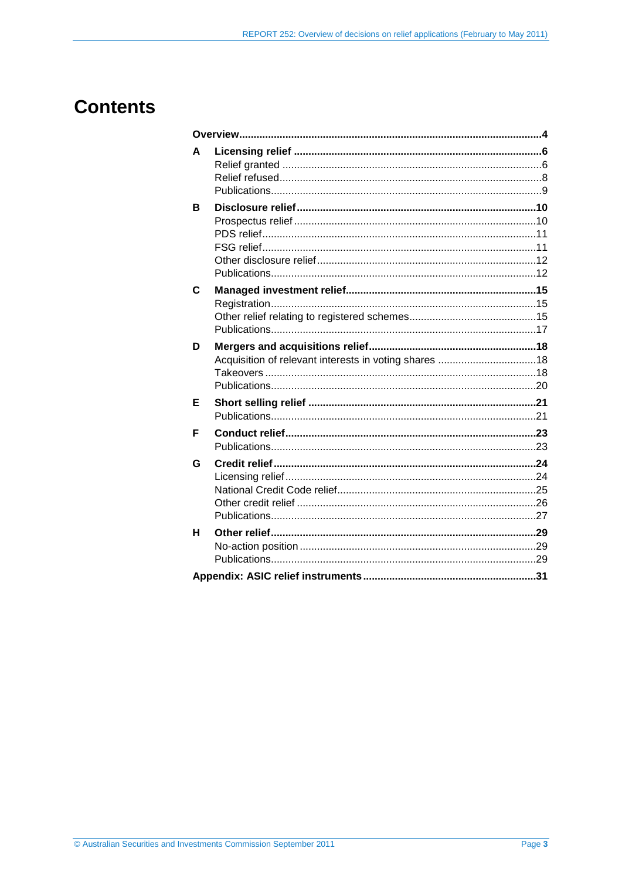## **Contents**

| A           |  |
|-------------|--|
| в           |  |
| $\mathbf c$ |  |
| D           |  |
| Е           |  |
| F           |  |
| G           |  |
| н           |  |
|             |  |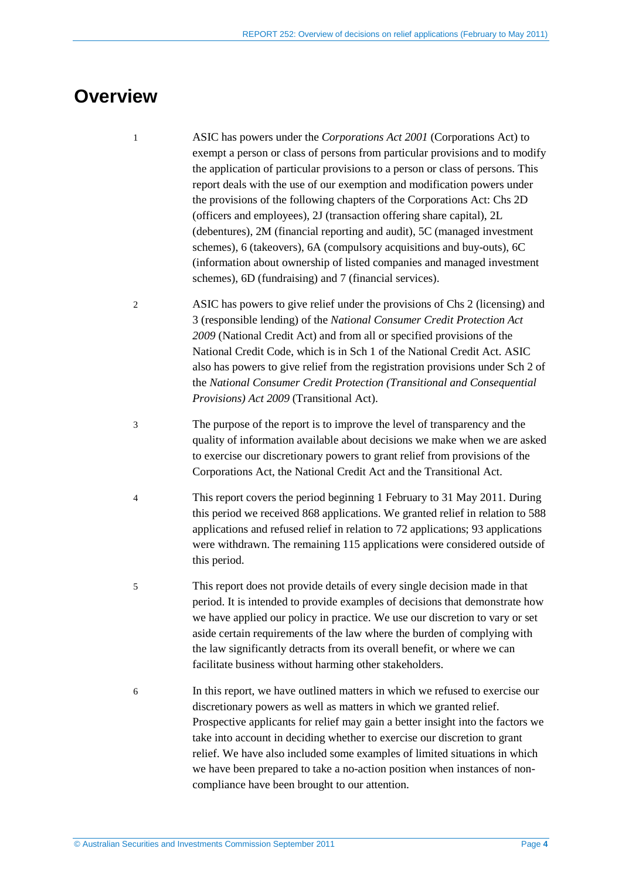## <span id="page-3-0"></span>**Overview**

- 1 ASIC has powers under the *Corporations Act 2001* (Corporations Act) to exempt a person or class of persons from particular provisions and to modify the application of particular provisions to a person or class of persons. This report deals with the use of our exemption and modification powers under the provisions of the following chapters of the Corporations Act: Chs 2D (officers and employees), 2J (transaction offering share capital), 2L (debentures), 2M (financial reporting and audit), 5C (managed investment schemes), 6 (takeovers), 6A (compulsory acquisitions and buy-outs), 6C (information about ownership of listed companies and managed investment schemes), 6D (fundraising) and 7 (financial services).
- 2 ASIC has powers to give relief under the provisions of Chs 2 (licensing) and 3 (responsible lending) of the *National Consumer Credit Protection Act 2009* (National Credit Act) and from all or specified provisions of the National Credit Code, which is in Sch 1 of the National Credit Act. ASIC also has powers to give relief from the registration provisions under Sch 2 of the *National Consumer Credit Protection (Transitional and Consequential Provisions) Act 2009* (Transitional Act).
- 3 The purpose of the report is to improve the level of transparency and the quality of information available about decisions we make when we are asked to exercise our discretionary powers to grant relief from provisions of the Corporations Act, the National Credit Act and the Transitional Act.
- 4 This report covers the period beginning 1 February to 31 May 2011. During this period we received 868 applications. We granted relief in relation to 588 applications and refused relief in relation to 72 applications; 93 applications were withdrawn. The remaining 115 applications were considered outside of this period.
- 5 This report does not provide details of every single decision made in that period. It is intended to provide examples of decisions that demonstrate how we have applied our policy in practice. We use our discretion to vary or set aside certain requirements of the law where the burden of complying with the law significantly detracts from its overall benefit, or where we can facilitate business without harming other stakeholders.
- 6 In this report, we have outlined matters in which we refused to exercise our discretionary powers as well as matters in which we granted relief. Prospective applicants for relief may gain a better insight into the factors we take into account in deciding whether to exercise our discretion to grant relief. We have also included some examples of limited situations in which we have been prepared to take a no-action position when instances of noncompliance have been brought to our attention.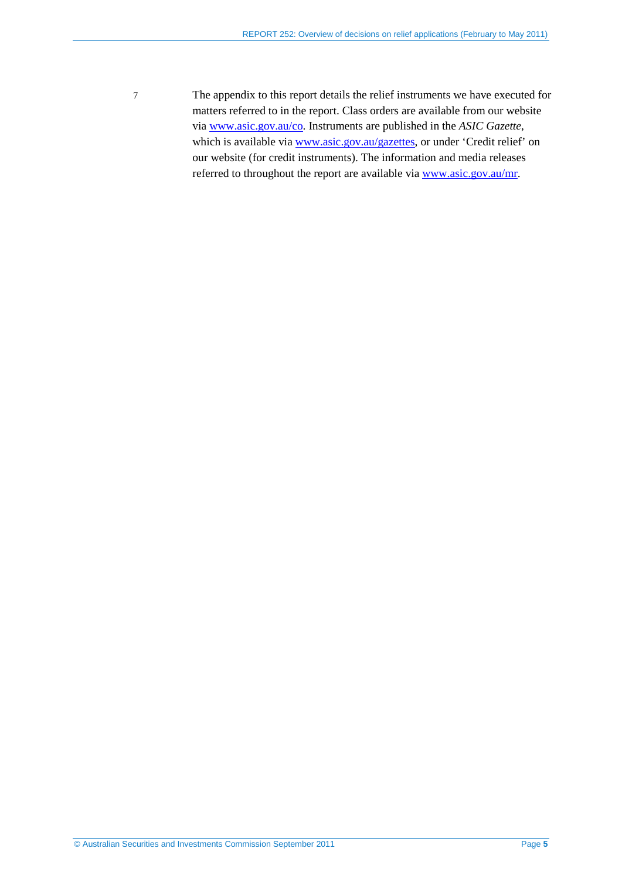7 The appendix to this report details the relief instruments we have executed for matters referred to in the report. Class orders are available from our website via [www.asic.gov.au/co.](http://www.asic.gov.au/co) Instruments are published in the *ASIC Gazette*, which is available vi[a www.asic.gov.au/gazettes,](http://www.asic.gov.au/gazettes) or under 'Credit relief' on our website (for credit instruments). The information and media releases referred to throughout the report are available via [www.asic.gov.au/mr.](http://www.asic.gov.au/mr)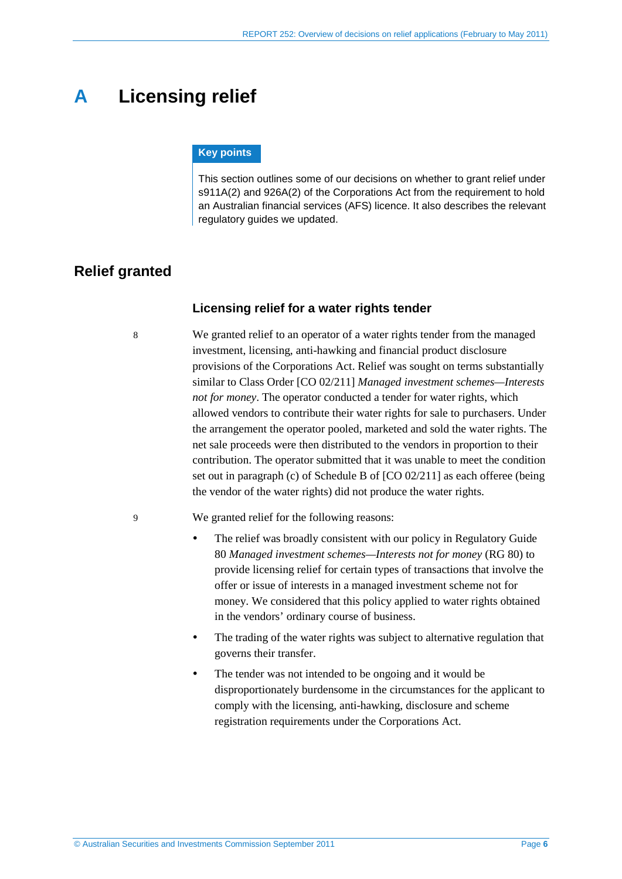## <span id="page-5-4"></span><span id="page-5-0"></span>**A Licensing relief**

#### **Key points**

This section outlines some of our decisions on whether to grant relief under s911A(2) and 926A(2) of the Corporations Act from the requirement to hold an Australian financial services (AFS) licence. It also describes the relevant regulatory guides we updated.

### <span id="page-5-5"></span><span id="page-5-2"></span><span id="page-5-1"></span>**Relief granted**

#### **Licensing relief for a water rights tender**

8 We granted relief to an operator of a water rights tender from the managed investment, licensing, anti-hawking and financial product disclosure provisions of the Corporations Act. Relief was sought on terms substantially similar to Class Order [CO 02/211] *Managed investment schemes—Interests not for money*. The operator conducted a tender for water rights, which allowed vendors to contribute their water rights for sale to purchasers. Under the arrangement the operator pooled, marketed and sold the water rights. The net sale proceeds were then distributed to the vendors in proportion to their contribution. The operator submitted that it was unable to meet the condition set out in paragraph (c) of Schedule B of [CO 02/211] as each offeree (being the vendor of the water rights) did not produce the water rights.

<span id="page-5-3"></span>9 We granted relief for the following reasons:

- The relief was broadly consistent with our policy in Regulatory Guide 80 *Managed investment schemes—Interests not for money* (RG 80) to provide licensing relief for certain types of transactions that involve the offer or issue of interests in a managed investment scheme not for money. We considered that this policy applied to water rights obtained in the vendors' ordinary course of business.
- The trading of the water rights was subject to alternative regulation that governs their transfer.
- The tender was not intended to be ongoing and it would be disproportionately burdensome in the circumstances for the applicant to comply with the licensing, anti-hawking, disclosure and scheme registration requirements under the Corporations Act.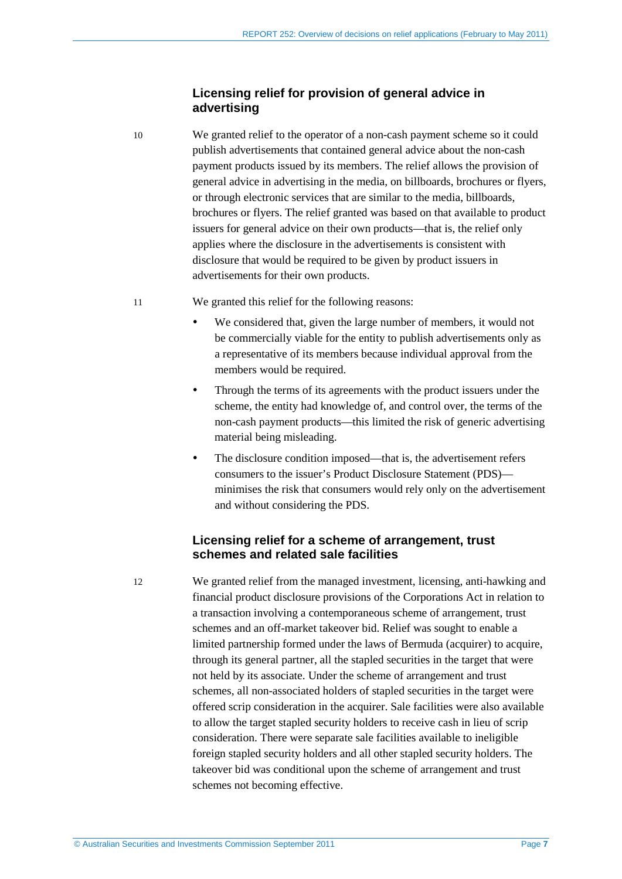#### <span id="page-6-1"></span>**Licensing relief for provision of general advice in advertising**

<span id="page-6-2"></span>10 We granted relief to the operator of a non-cash payment scheme so it could publish advertisements that contained general advice about the non-cash payment products issued by its members. The relief allows the provision of general advice in advertising in the media, on billboards, brochures or flyers, or through electronic services that are similar to the media, billboards, brochures or flyers. The relief granted was based on that available to product issuers for general advice on their own products—that is, the relief only applies where the disclosure in the advertisements is consistent with disclosure that would be required to be given by product issuers in advertisements for their own products.

#### <span id="page-6-3"></span>11 We granted this relief for the following reasons:

- We considered that, given the large number of members, it would not be commercially viable for the entity to publish advertisements only as a representative of its members because individual approval from the members would be required.
- Through the terms of its agreements with the product issuers under the scheme, the entity had knowledge of, and control over, the terms of the non-cash payment products—this limited the risk of generic advertising material being misleading.
- The disclosure condition imposed—that is, the advertisement refers consumers to the issuer's Product Disclosure Statement (PDS) minimises the risk that consumers would rely only on the advertisement and without considering the PDS.

#### **Licensing relief for a scheme of arrangement, trust schemes and related sale facilities**

<span id="page-6-0"></span>12 We granted relief from the managed investment, licensing, anti-hawking and financial product disclosure provisions of the Corporations Act in relation to a transaction involving a contemporaneous scheme of arrangement, trust schemes and an off-market takeover bid. Relief was sought to enable a limited partnership formed under the laws of Bermuda (acquirer) to acquire, through its general partner, all the stapled securities in the target that were not held by its associate. Under the scheme of arrangement and trust schemes, all non-associated holders of stapled securities in the target were offered scrip consideration in the acquirer. Sale facilities were also available to allow the target stapled security holders to receive cash in lieu of scrip consideration. There were separate sale facilities available to ineligible foreign stapled security holders and all other stapled security holders. The takeover bid was conditional upon the scheme of arrangement and trust schemes not becoming effective.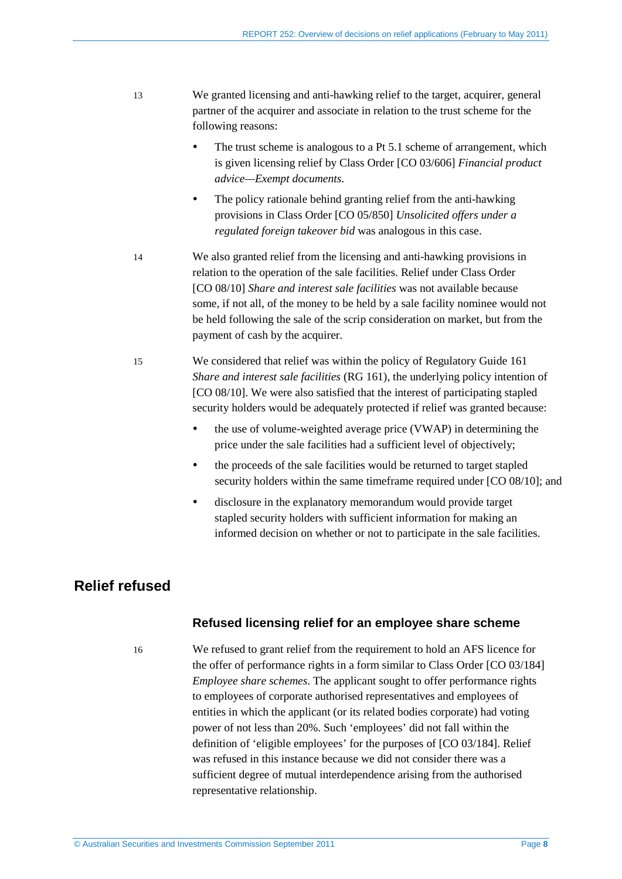- <span id="page-7-3"></span><span id="page-7-2"></span>13 We granted licensing and anti-hawking relief to the target, acquirer, general partner of the acquirer and associate in relation to the trust scheme for the following reasons:
	- The trust scheme is analogous to a Pt 5.1 scheme of arrangement, which is given licensing relief by Class Order [CO 03/606] *Financial product advice—Exempt documents*.
	- The policy rationale behind granting relief from the anti-hawking provisions in Class Order [CO 05/850] *Unsolicited offers under a regulated foreign takeover bid* was analogous in this case.
- 14 We also granted relief from the licensing and anti-hawking provisions in relation to the operation of the sale facilities. Relief under Class Order [CO 08/10] *Share and interest sale facilities* was not available because some, if not all, of the money to be held by a sale facility nominee would not be held following the sale of the scrip consideration on market, but from the payment of cash by the acquirer.
- 15 We considered that relief was within the policy of Regulatory Guide 161 *Share and interest sale facilities* (RG 161), the underlying policy intention of [CO 08/10]. We were also satisfied that the interest of participating stapled security holders would be adequately protected if relief was granted because:
	- the use of volume-weighted average price (VWAP) in determining the price under the sale facilities had a sufficient level of objectively;
	- the proceeds of the sale facilities would be returned to target stapled security holders within the same timeframe required under [CO 08/10]; and
	- disclosure in the explanatory memorandum would provide target stapled security holders with sufficient information for making an informed decision on whether or not to participate in the sale facilities.

## <span id="page-7-1"></span><span id="page-7-0"></span>**Relief refused**

#### **Refused licensing relief for an employee share scheme**

16 We refused to grant relief from the requirement to hold an AFS licence for the offer of performance rights in a form similar to Class Order [CO 03/184] *Employee share schemes*. The applicant sought to offer performance rights to employees of corporate authorised representatives and employees of entities in which the applicant (or its related bodies corporate) had voting power of not less than 20%. Such 'employees' did not fall within the definition of 'eligible employees' for the purposes of [CO 03/184]. Relief was refused in this instance because we did not consider there was a sufficient degree of mutual interdependence arising from the authorised representative relationship.

© Australian Securities and Investments Commission September 2011 Page **8**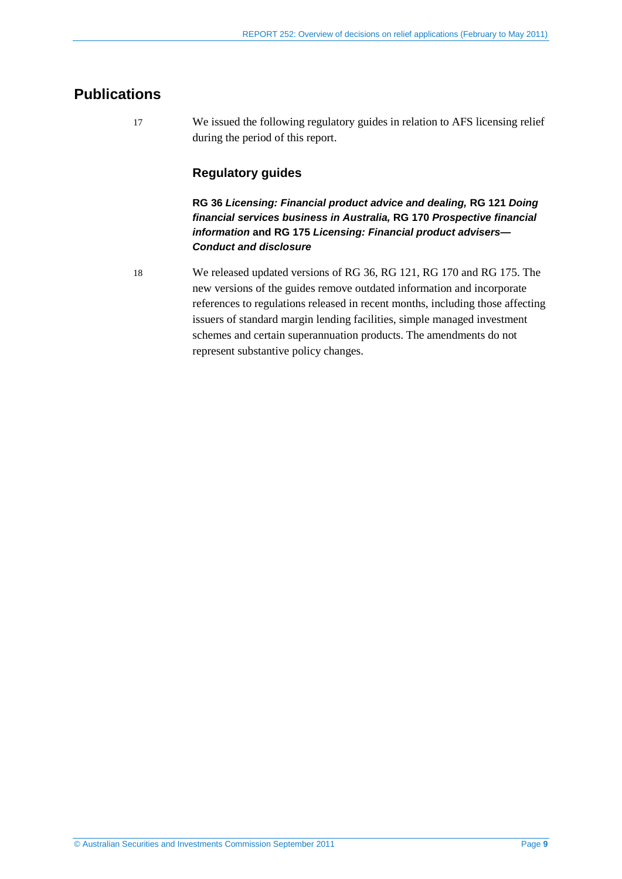## <span id="page-8-0"></span>**Publications**

17 We issued the following regulatory guides in relation to AFS licensing relief during the period of this report.

### **Regulatory guides**

**RG 36** *Licensing: Financial product advice and dealing,* **RG 121** *Doing financial services business in Australia,* **RG 170** *Prospective financial information* **and RG 175** *Licensing: Financial product advisers— Conduct and disclosure* 

18 We released updated versions of RG 36, RG 121, RG 170 and RG 175. The new versions of the guides remove outdated information and incorporate references to regulations released in recent months, including those affecting issuers of standard margin lending facilities, simple managed investment schemes and certain superannuation products. The amendments do not represent substantive policy changes.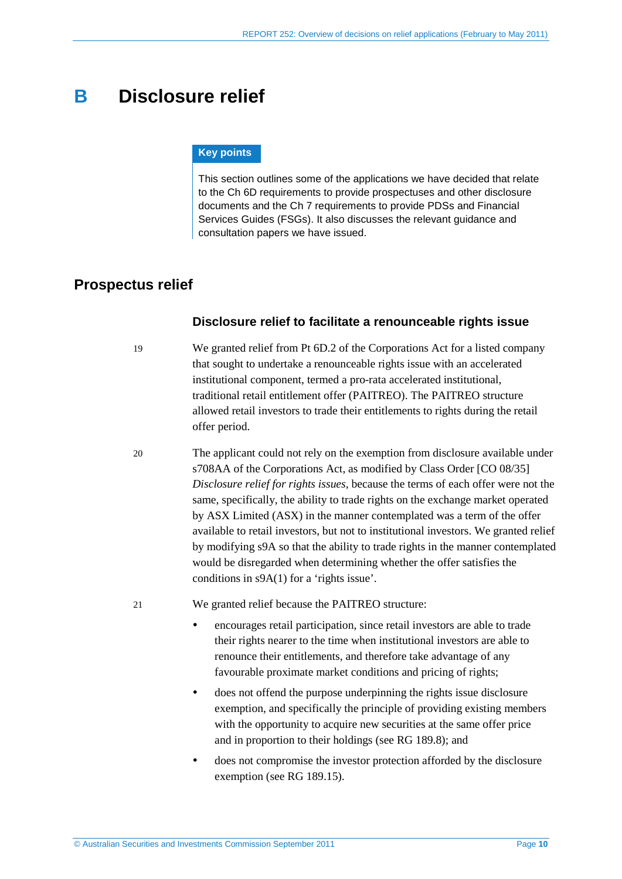## <span id="page-9-2"></span><span id="page-9-0"></span>**B Disclosure relief**

#### **Key points**

This section outlines some of the applications we have decided that relate to the Ch 6D requirements to provide prospectuses and other disclosure documents and the Ch 7 requirements to provide PDSs and Financial Services Guides (FSGs). It also discusses the relevant guidance and consultation papers we have issued.

## <span id="page-9-3"></span><span id="page-9-1"></span>**Prospectus relief**

#### **Disclosure relief to facilitate a renounceable rights issue**

- 19 We granted relief from Pt 6D.2 of the Corporations Act for a listed company that sought to undertake a renounceable rights issue with an accelerated institutional component, termed a pro-rata accelerated institutional, traditional retail entitlement offer (PAITREO). The PAITREO structure allowed retail investors to trade their entitlements to rights during the retail offer period.
- 20 The applicant could not rely on the exemption from disclosure available under s708AA of the Corporations Act, as modified by Class Order [CO 08/35] *Disclosure relief for rights issues*, because the terms of each offer were not the same, specifically, the ability to trade rights on the exchange market operated by ASX Limited (ASX) in the manner contemplated was a term of the offer available to retail investors, but not to institutional investors. We granted relief by modifying s9A so that the ability to trade rights in the manner contemplated would be disregarded when determining whether the offer satisfies the conditions in s9A(1) for a 'rights issue'.

21 We granted relief because the PAITREO structure:

- encourages retail participation, since retail investors are able to trade their rights nearer to the time when institutional investors are able to renounce their entitlements, and therefore take advantage of any favourable proximate market conditions and pricing of rights;
- does not offend the purpose underpinning the rights issue disclosure exemption, and specifically the principle of providing existing members with the opportunity to acquire new securities at the same offer price and in proportion to their holdings (see RG 189.8); and
- does not compromise the investor protection afforded by the disclosure exemption (see RG 189.15).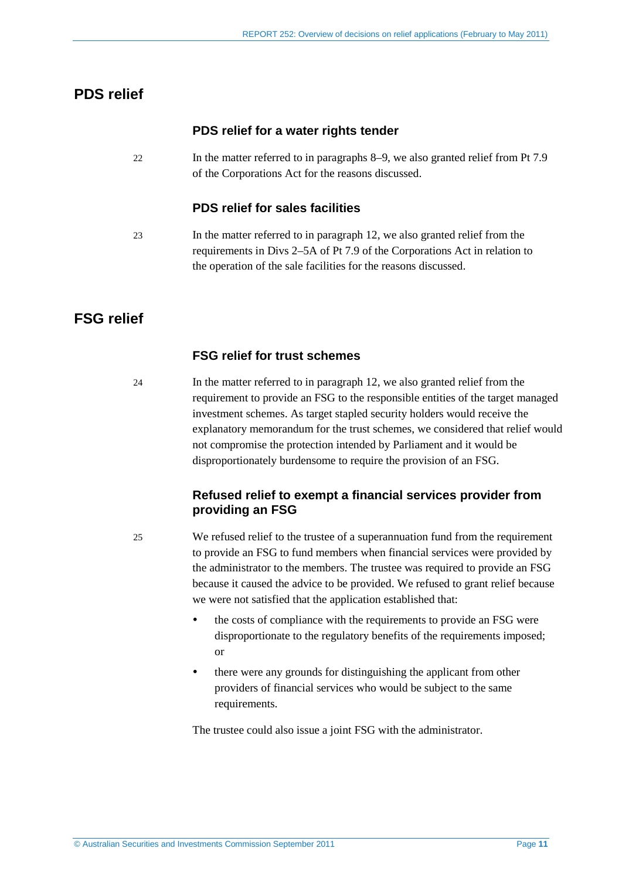## <span id="page-10-4"></span><span id="page-10-3"></span><span id="page-10-2"></span><span id="page-10-0"></span>**PDS relief**

### **PDS relief for a water rights tender**

22 In the matter referred to in paragraphs [8](#page-5-2)[–9,](#page-5-3) we also granted relief from Pt 7.9 of the Corporations Act for the reasons discussed.

#### **PDS relief for sales facilities**

23 In the matter referred to in paragraph [12,](#page-6-0) we also granted relief from the requirements in Divs 2–5A of Pt 7.9 of the Corporations Act in relation to the operation of the sale facilities for the reasons discussed.

## <span id="page-10-1"></span>**FSG relief**

#### **FSG relief for trust schemes**

24 In the matter referred to in paragraph [12,](#page-6-0) we also granted relief from the requirement to provide an FSG to the responsible entities of the target managed investment schemes. As target stapled security holders would receive the explanatory memorandum for the trust schemes, we considered that relief would not compromise the protection intended by Parliament and it would be disproportionately burdensome to require the provision of an FSG.

### **Refused relief to exempt a financial services provider from providing an FSG**

25 We refused relief to the trustee of a superannuation fund from the requirement to provide an FSG to fund members when financial services were provided by the administrator to the members. The trustee was required to provide an FSG because it caused the advice to be provided. We refused to grant relief because we were not satisfied that the application established that:

- the costs of compliance with the requirements to provide an FSG were disproportionate to the regulatory benefits of the requirements imposed; or
- there were any grounds for distinguishing the applicant from other providers of financial services who would be subject to the same requirements.

The trustee could also issue a joint FSG with the administrator.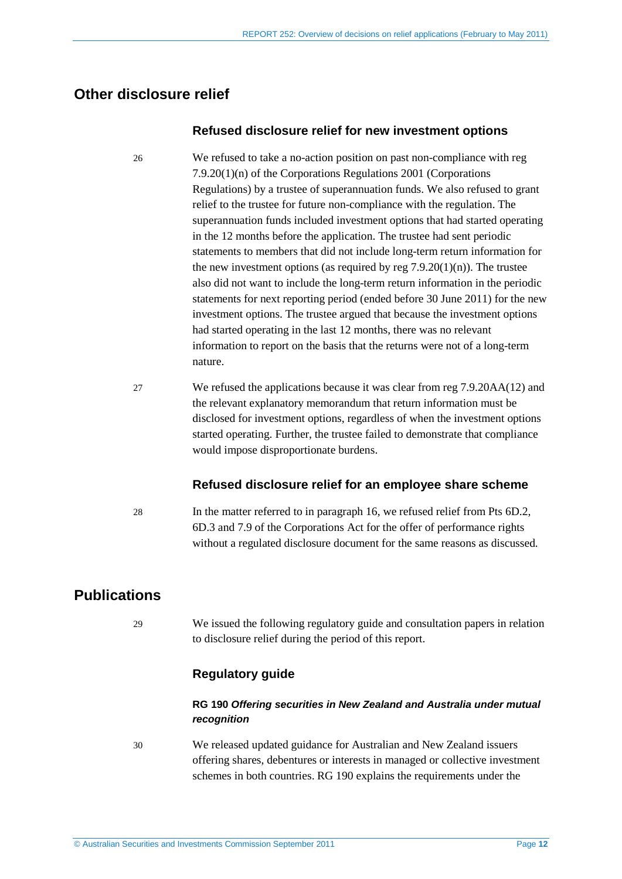## <span id="page-11-0"></span>**Other disclosure relief**

#### **Refused disclosure relief for new investment options**

26 We refused to take a no-action position on past non-compliance with reg 7.9.20(1)(n) of the Corporations Regulations 2001 (Corporations Regulations) by a trustee of superannuation funds. We also refused to grant relief to the trustee for future non-compliance with the regulation. The superannuation funds included investment options that had started operating in the 12 months before the application. The trustee had sent periodic statements to members that did not include long-term return information for the new investment options (as required by reg  $7.9.20(1)(n)$ ). The trustee also did not want to include the long-term return information in the periodic statements for next reporting period (ended before 30 June 2011) for the new investment options. The trustee argued that because the investment options had started operating in the last 12 months, there was no relevant information to report on the basis that the returns were not of a long-term nature.

27 We refused the applications because it was clear from reg 7.9.20AA(12) and the relevant explanatory memorandum that return information must be disclosed for investment options, regardless of when the investment options started operating. Further, the trustee failed to demonstrate that compliance would impose disproportionate burdens.

#### **Refused disclosure relief for an employee share scheme**

28 In the matter referred to in paragraph [16,](#page-7-1) we refused relief from Pts 6D.2, 6D.3 and 7.9 of the Corporations Act for the offer of performance rights without a regulated disclosure document for the same reasons as discussed.

## <span id="page-11-1"></span>**Publications**

29 We issued the following regulatory guide and consultation papers in relation to disclosure relief during the period of this report.

### **Regulatory guide**

#### **RG 190** *Offering securities in New Zealand and Australia under mutual recognition*

30 We released updated guidance for Australian and New Zealand issuers offering shares, debentures or interests in managed or collective investment schemes in both countries. RG 190 explains the requirements under the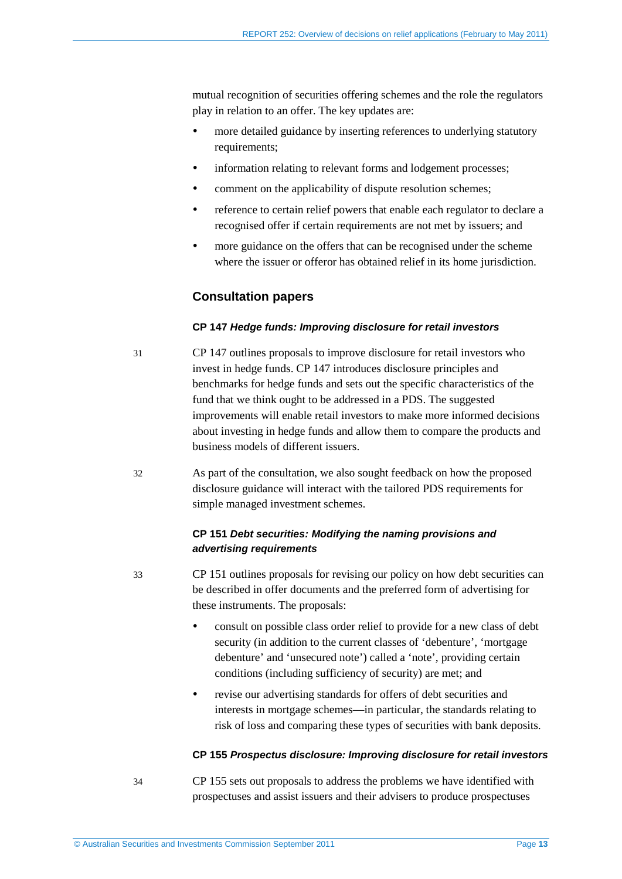mutual recognition of securities offering schemes and the role the regulators play in relation to an offer. The key updates are:

- more detailed guidance by inserting references to underlying statutory requirements;
- information relating to relevant forms and lodgement processes;
- comment on the applicability of dispute resolution schemes;
- reference to certain relief powers that enable each regulator to declare a recognised offer if certain requirements are not met by issuers; and
- more guidance on the offers that can be recognised under the scheme where the issuer or offeror has obtained relief in its home jurisdiction.

#### **Consultation papers**

#### **CP 147** *Hedge funds: Improving disclosure for retail investors*

- 31 CP 147 outlines proposals to improve disclosure for retail investors who invest in hedge funds. CP 147 introduces disclosure principles and benchmarks for hedge funds and sets out the specific characteristics of the fund that we think ought to be addressed in a PDS. The suggested improvements will enable retail investors to make more informed decisions about investing in hedge funds and allow them to compare the products and business models of different issuers.
- 32 As part of the consultation, we also sought feedback on how the proposed disclosure guidance will interact with the tailored PDS requirements for simple managed investment schemes.

#### **CP 151** *Debt securities: Modifying the naming provisions and advertising requirements*

- 33 CP 151 outlines proposals for revising our policy on how debt securities can be described in offer documents and the preferred form of advertising for these instruments. The proposals:
	- consult on possible class order relief to provide for a new class of debt security (in addition to the current classes of 'debenture', 'mortgage debenture' and 'unsecured note') called a 'note', providing certain conditions (including sufficiency of security) are met; and
	- revise our advertising standards for offers of debt securities and interests in mortgage schemes—in particular, the standards relating to risk of loss and comparing these types of securities with bank deposits.

#### **CP 155** *Prospectus disclosure: Improving disclosure for retail investors*

34 CP 155 sets out proposals to address the problems we have identified with prospectuses and assist issuers and their advisers to produce prospectuses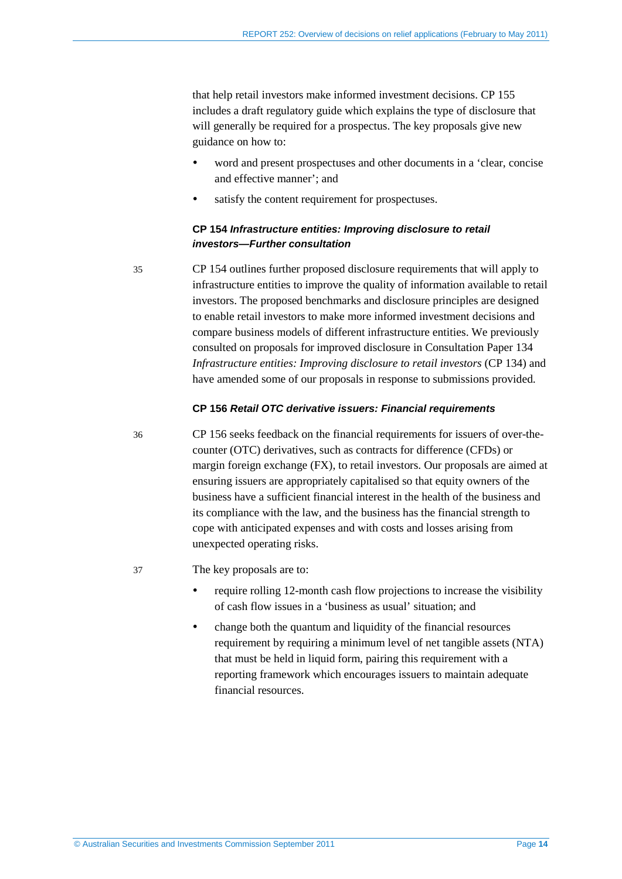that help retail investors make informed investment decisions. CP 155 includes a draft regulatory guide which explains the type of disclosure that will generally be required for a prospectus. The key proposals give new guidance on how to:

- word and present prospectuses and other documents in a 'clear, concise and effective manner'; and
- satisfy the content requirement for prospectuses.

#### **CP 154** *Infrastructure entities: Improving disclosure to retail investors—Further consultation*

35 CP 154 outlines further proposed disclosure requirements that will apply to infrastructure entities to improve the quality of information available to retail investors. The proposed benchmarks and disclosure principles are designed to enable retail investors to make more informed investment decisions and compare business models of different infrastructure entities. We previously consulted on proposals for improved disclosure in Consultation Paper 134 *Infrastructure entities: Improving disclosure to retail investors* (CP 134) and have amended some of our proposals in response to submissions provided.

#### **CP 156** *Retail OTC derivative issuers: Financial requirements*

36 CP 156 seeks feedback on the financial requirements for issuers of over-thecounter (OTC) derivatives, such as contracts for difference (CFDs) or margin foreign exchange (FX), to retail investors. Our proposals are aimed at ensuring issuers are appropriately capitalised so that equity owners of the business have a sufficient financial interest in the health of the business and its compliance with the law, and the business has the financial strength to cope with anticipated expenses and with costs and losses arising from unexpected operating risks.

#### 37 The key proposals are to:

- require rolling 12-month cash flow projections to increase the visibility of cash flow issues in a 'business as usual' situation; and
- change both the quantum and liquidity of the financial resources requirement by requiring a minimum level of net tangible assets (NTA) that must be held in liquid form, pairing this requirement with a reporting framework which encourages issuers to maintain adequate financial resources.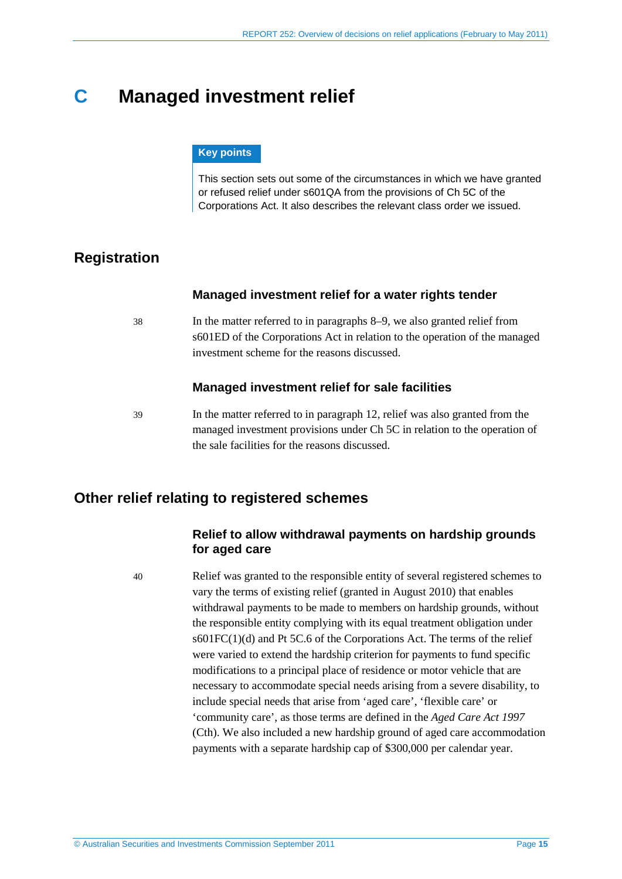## <span id="page-14-4"></span><span id="page-14-3"></span><span id="page-14-0"></span>**C Managed investment relief**

#### **Key points**

This section sets out some of the circumstances in which we have granted or refused relief under s601QA from the provisions of Ch 5C of the Corporations Act. It also describes the relevant class order we issued.

## <span id="page-14-5"></span><span id="page-14-1"></span>**Registration**

#### **Managed investment relief for a water rights tender**

38 In the matter referred to in paragraphs [8](#page-5-2)[–9,](#page-5-3) we also granted relief from s601ED of the Corporations Act in relation to the operation of the managed investment scheme for the reasons discussed.

#### **Managed investment relief for sale facilities**

39 In the matter referred to in paragraph [12,](#page-6-0) relief was also granted from the managed investment provisions under Ch 5C in relation to the operation of the sale facilities for the reasons discussed.

## <span id="page-14-2"></span>**Other relief relating to registered schemes**

#### **Relief to allow withdrawal payments on hardship grounds for aged care**

40 Relief was granted to the responsible entity of several registered schemes to vary the terms of existing relief (granted in August 2010) that enables withdrawal payments to be made to members on hardship grounds, without the responsible entity complying with its equal treatment obligation under  $s601FC(1)(d)$  and Pt 5C.6 of the Corporations Act. The terms of the relief were varied to extend the hardship criterion for payments to fund specific modifications to a principal place of residence or motor vehicle that are necessary to accommodate special needs arising from a severe disability, to include special needs that arise from 'aged care', 'flexible care' or 'community care', as those terms are defined in the *Aged Care Act 1997* (Cth). We also included a new hardship ground of aged care accommodation payments with a separate hardship cap of \$300,000 per calendar year.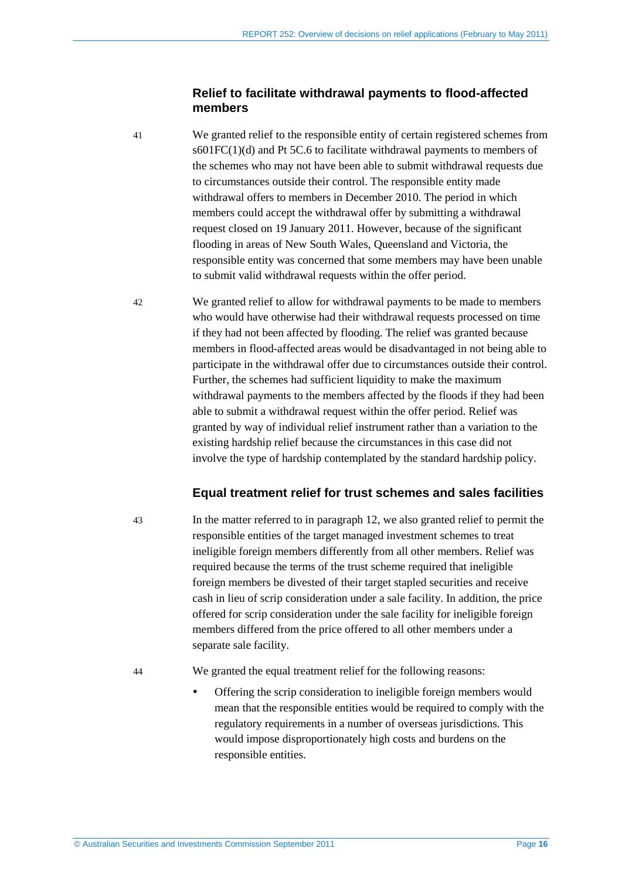#### <span id="page-15-2"></span>**Relief to facilitate withdrawal payments to flood-affected members**

<span id="page-15-3"></span>41 We granted relief to the responsible entity of certain registered schemes from s601FC(1)(d) and Pt 5C.6 to facilitate withdrawal payments to members of the schemes who may not have been able to submit withdrawal requests due to circumstances outside their control. The responsible entity made withdrawal offers to members in December 2010. The period in which members could accept the withdrawal offer by submitting a withdrawal request closed on 19 January 2011. However, because of the significant flooding in areas of New South Wales, Queensland and Victoria, the responsible entity was concerned that some members may have been unable to submit valid withdrawal requests within the offer period.

<span id="page-15-1"></span><span id="page-15-0"></span>42 We granted relief to allow for withdrawal payments to be made to members who would have otherwise had their withdrawal requests processed on time if they had not been affected by flooding. The relief was granted because members in flood-affected areas would be disadvantaged in not being able to participate in the withdrawal offer due to circumstances outside their control. Further, the schemes had sufficient liquidity to make the maximum withdrawal payments to the members affected by the floods if they had been able to submit a withdrawal request within the offer period. Relief was granted by way of individual relief instrument rather than a variation to the existing hardship relief because the circumstances in this case did not involve the type of hardship contemplated by the standard hardship policy.

#### **Equal treatment relief for trust schemes and sales facilities**

43 In the matter referred to in paragraph [12,](#page-6-0) we also granted relief to permit the responsible entities of the target managed investment schemes to treat ineligible foreign members differently from all other members. Relief was required because the terms of the trust scheme required that ineligible foreign members be divested of their target stapled securities and receive cash in lieu of scrip consideration under a sale facility. In addition, the price offered for scrip consideration under the sale facility for ineligible foreign members differed from the price offered to all other members under a separate sale facility.

- 44 We granted the equal treatment relief for the following reasons:
	- Offering the scrip consideration to ineligible foreign members would mean that the responsible entities would be required to comply with the regulatory requirements in a number of overseas jurisdictions. This would impose disproportionately high costs and burdens on the responsible entities.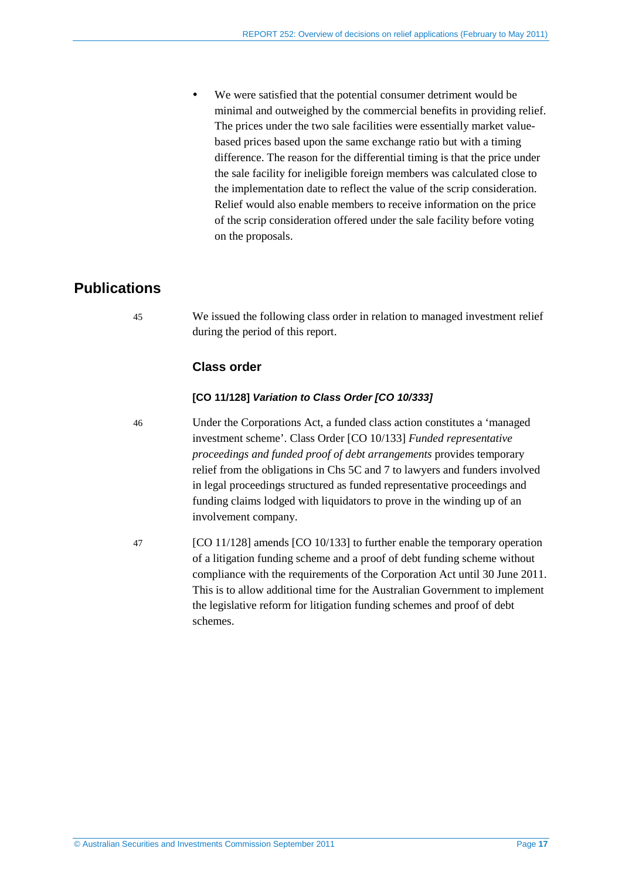We were satisfied that the potential consumer detriment would be minimal and outweighed by the commercial benefits in providing relief. The prices under the two sale facilities were essentially market valuebased prices based upon the same exchange ratio but with a timing difference. The reason for the differential timing is that the price under the sale facility for ineligible foreign members was calculated close to the implementation date to reflect the value of the scrip consideration. Relief would also enable members to receive information on the price of the scrip consideration offered under the sale facility before voting on the proposals.

## <span id="page-16-0"></span>**Publications**

45 We issued the following class order in relation to managed investment relief during the period of this report.

### **Class order**

#### **[CO 11/128]** *Variation to Class Order [CO 10/333]*

46 Under the Corporations Act, a funded class action constitutes a 'managed investment scheme'. Class Order [CO 10/133] *Funded representative proceedings and funded proof of debt arrangements* provides temporary relief from the obligations in Chs 5C and 7 to lawyers and funders involved in legal proceedings structured as funded representative proceedings and funding claims lodged with liquidators to prove in the winding up of an involvement company.

47 [CO 11/128] amends [CO 10/133] to further enable the temporary operation of a litigation funding scheme and a proof of debt funding scheme without compliance with the requirements of the Corporation Act until 30 June 2011. This is to allow additional time for the Australian Government to implement the legislative reform for litigation funding schemes and proof of debt schemes.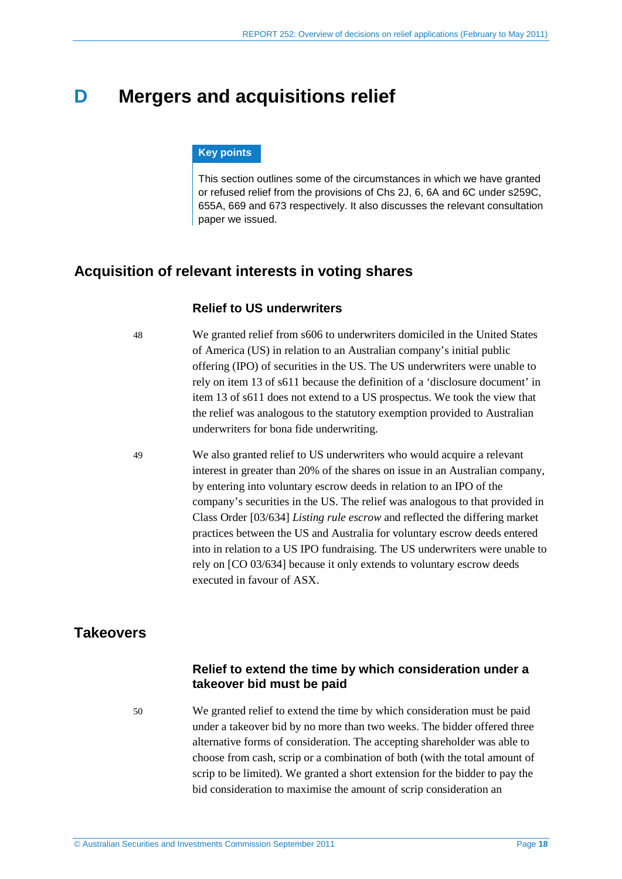## <span id="page-17-3"></span><span id="page-17-0"></span>**D Mergers and acquisitions relief**

#### **Key points**

This section outlines some of the circumstances in which we have granted or refused relief from the provisions of Chs 2J, 6, 6A and 6C under s259C, 655A, 669 and 673 respectively. It also discusses the relevant consultation paper we issued.

### <span id="page-17-4"></span><span id="page-17-1"></span>**Acquisition of relevant interests in voting shares**

#### **Relief to US underwriters**

48 We granted relief from s606 to underwriters domiciled in the United States of America (US) in relation to an Australian company's initial public offering (IPO) of securities in the US. The US underwriters were unable to rely on item 13 of s611 because the definition of a 'disclosure document' in item 13 of s611 does not extend to a US prospectus. We took the view that the relief was analogous to the statutory exemption provided to Australian underwriters for bona fide underwriting.

<span id="page-17-5"></span>49 We also granted relief to US underwriters who would acquire a relevant interest in greater than 20% of the shares on issue in an Australian company, by entering into voluntary escrow deeds in relation to an IPO of the company's securities in the US. The relief was analogous to that provided in Class Order [03/634] *Listing rule escrow* and reflected the differing market practices between the US and Australia for voluntary escrow deeds entered into in relation to a US IPO fundraising. The US underwriters were unable to rely on [CO 03/634] because it only extends to voluntary escrow deeds executed in favour of ASX.

### <span id="page-17-2"></span>**Takeovers**

### **Relief to extend the time by which consideration under a takeover bid must be paid**

50 We granted relief to extend the time by which consideration must be paid under a takeover bid by no more than two weeks. The bidder offered three alternative forms of consideration. The accepting shareholder was able to choose from cash, scrip or a combination of both (with the total amount of scrip to be limited). We granted a short extension for the bidder to pay the bid consideration to maximise the amount of scrip consideration an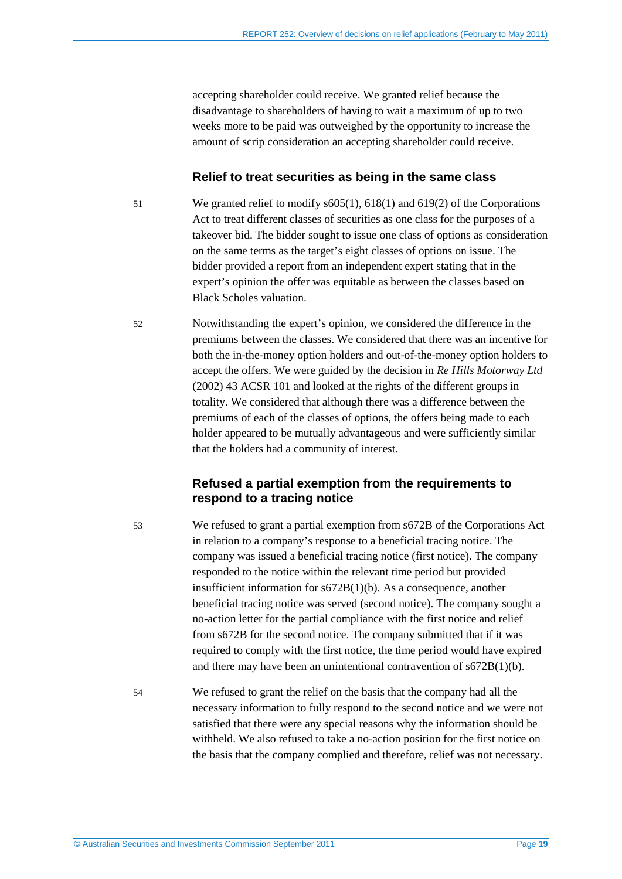<span id="page-18-1"></span><span id="page-18-0"></span>accepting shareholder could receive. We granted relief because the disadvantage to shareholders of having to wait a maximum of up to two weeks more to be paid was outweighed by the opportunity to increase the amount of scrip consideration an accepting shareholder could receive.

#### **Relief to treat securities as being in the same class**

51 We granted relief to modify s605(1), 618(1) and 619(2) of the Corporations Act to treat different classes of securities as one class for the purposes of a takeover bid. The bidder sought to issue one class of options as consideration on the same terms as the target's eight classes of options on issue. The bidder provided a report from an independent expert stating that in the expert's opinion the offer was equitable as between the classes based on Black Scholes valuation.

52 Notwithstanding the expert's opinion, we considered the difference in the premiums between the classes. We considered that there was an incentive for both the in-the-money option holders and out-of-the-money option holders to accept the offers. We were guided by the decision in *Re Hills Motorway Ltd* (2002) 43 ACSR 101 and looked at the rights of the different groups in totality. We considered that although there was a difference between the premiums of each of the classes of options, the offers being made to each holder appeared to be mutually advantageous and were sufficiently similar that the holders had a community of interest.

#### **Refused a partial exemption from the requirements to respond to a tracing notice**

53 We refused to grant a partial exemption from s672B of the Corporations Act in relation to a company's response to a beneficial tracing notice. The company was issued a beneficial tracing notice (first notice). The company responded to the notice within the relevant time period but provided insufficient information for s672B(1)(b). As a consequence, another beneficial tracing notice was served (second notice). The company sought a no-action letter for the partial compliance with the first notice and relief from s672B for the second notice. The company submitted that if it was required to comply with the first notice, the time period would have expired and there may have been an unintentional contravention of s672B(1)(b).

54 We refused to grant the relief on the basis that the company had all the necessary information to fully respond to the second notice and we were not satisfied that there were any special reasons why the information should be withheld. We also refused to take a no-action position for the first notice on the basis that the company complied and therefore, relief was not necessary.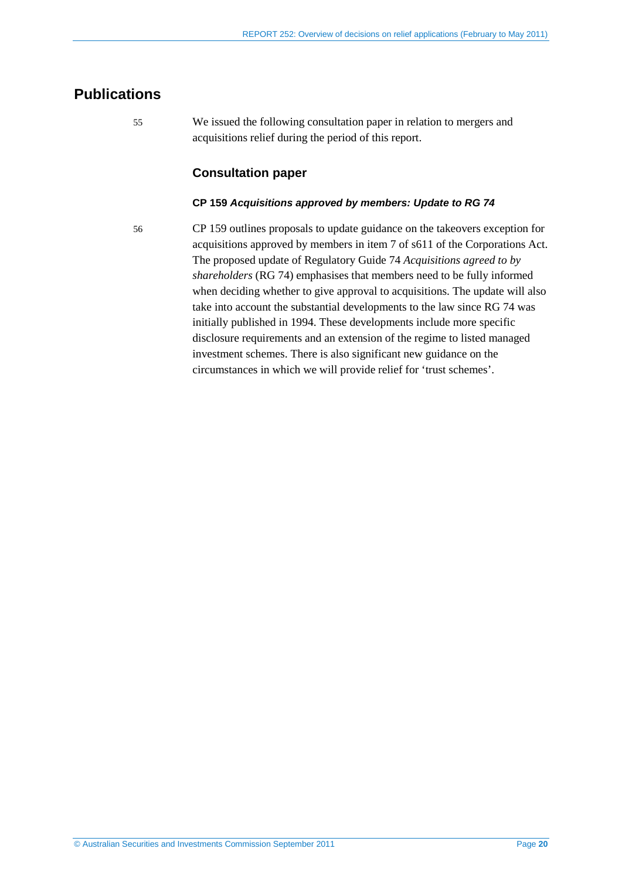## <span id="page-19-0"></span>**Publications**

55 We issued the following consultation paper in relation to mergers and acquisitions relief during the period of this report.

### **Consultation paper**

#### **CP 159** *Acquisitions approved by members: Update to RG 74*

56 CP 159 outlines proposals to update guidance on the takeovers exception for acquisitions approved by members in item 7 of s611 of the Corporations Act. The proposed update of Regulatory Guide 74 *Acquisitions agreed to by shareholders* (RG 74) emphasises that members need to be fully informed when deciding whether to give approval to acquisitions. The update will also take into account the substantial developments to the law since RG 74 was initially published in 1994. These developments include more specific disclosure requirements and an extension of the regime to listed managed investment schemes. There is also significant new guidance on the circumstances in which we will provide relief for 'trust schemes'.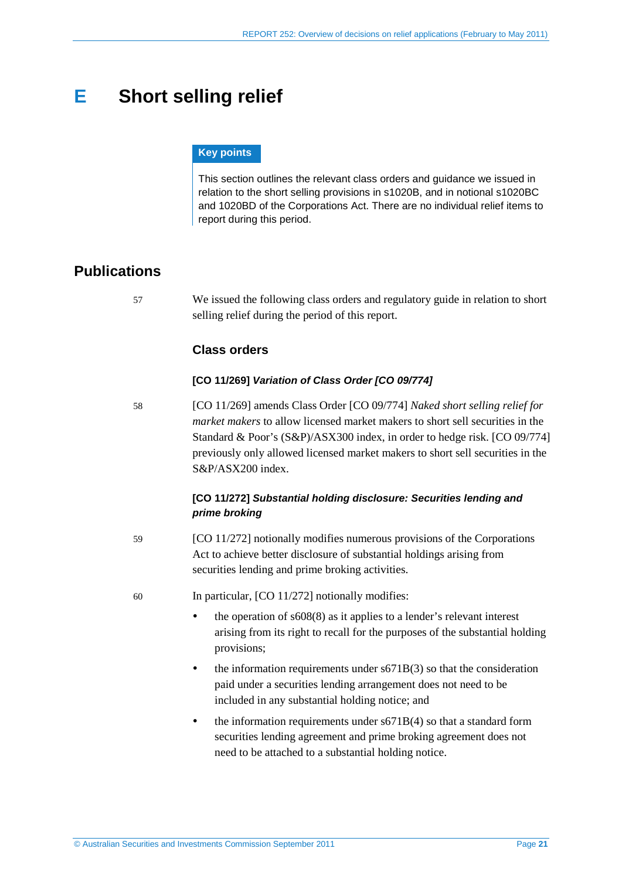## <span id="page-20-0"></span>**E Short selling relief**

#### **Key points**

This section outlines the relevant class orders and guidance we issued in relation to the short selling provisions in s1020B, and in notional s1020BC and 1020BD of the Corporations Act. There are no individual relief items to report during this period.

## <span id="page-20-1"></span>**Publications**

57 We issued the following class orders and regulatory guide in relation to short selling relief during the period of this report.

#### **Class orders**

#### **[CO 11/269]** *Variation of Class Order [CO 09/774]*

58 [CO 11/269] amends Class Order [CO 09/774] *Naked short selling relief for market makers* to allow licensed market makers to short sell securities in the Standard & Poor's (S&P)/ASX300 index, in order to hedge risk. [CO 09/774] previously only allowed licensed market makers to short sell securities in the S&P/ASX200 index.

#### **[CO 11/272]** *Substantial holding disclosure: Securities lending and prime broking*

- 59 [CO 11/272] notionally modifies numerous provisions of the Corporations Act to achieve better disclosure of substantial holdings arising from securities lending and prime broking activities.
- 60 In particular, [CO 11/272] notionally modifies:
	- the operation of  $s608(8)$  as it applies to a lender's relevant interest arising from its right to recall for the purposes of the substantial holding provisions;
	- $\bullet$  the information requirements under s671B(3) so that the consideration paid under a securities lending arrangement does not need to be included in any substantial holding notice; and
	- the information requirements under s671B(4) so that a standard form securities lending agreement and prime broking agreement does not need to be attached to a substantial holding notice.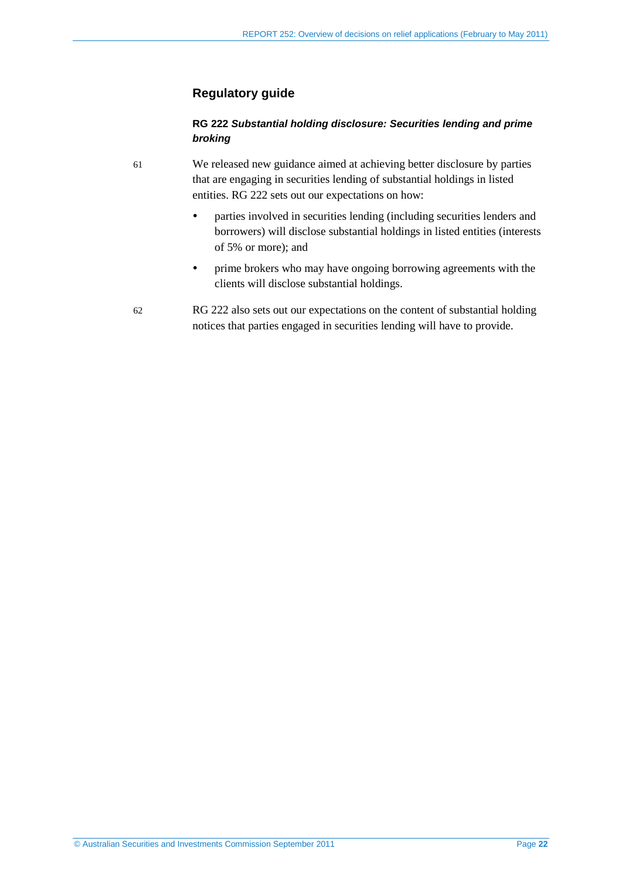#### **Regulatory guide**

#### **RG 222** *Substantial holding disclosure: Securities lending and prime broking*

61 We released new guidance aimed at achieving better disclosure by parties that are engaging in securities lending of substantial holdings in listed entities. RG 222 sets out our expectations on how:

- parties involved in securities lending (including securities lenders and borrowers) will disclose substantial holdings in listed entities (interests of 5% or more); and
- prime brokers who may have ongoing borrowing agreements with the clients will disclose substantial holdings.
- 62 RG 222 also sets out our expectations on the content of substantial holding notices that parties engaged in securities lending will have to provide.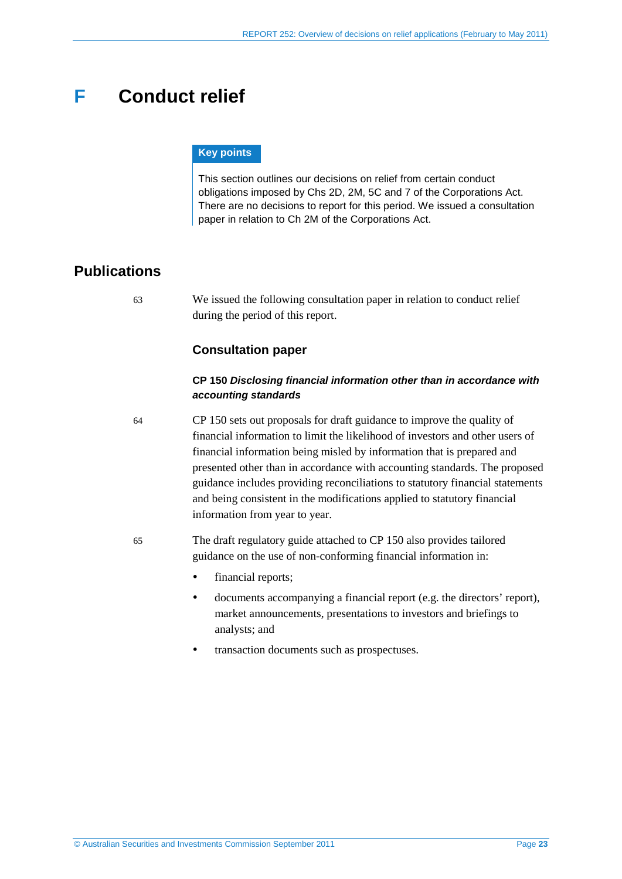## <span id="page-22-0"></span>**F Conduct relief**

#### **Key points**

This section outlines our decisions on relief from certain conduct obligations imposed by Chs 2D, 2M, 5C and 7 of the Corporations Act. There are no decisions to report for this period. We issued a consultation paper in relation to Ch 2M of the Corporations Act.

## <span id="page-22-1"></span>**Publications**

63 We issued the following consultation paper in relation to conduct relief during the period of this report.

#### **Consultation paper**

#### **CP 150** *Disclosing financial information other than in accordance with accounting standards*

64 CP 150 sets out proposals for draft guidance to improve the quality of financial information to limit the likelihood of investors and other users of financial information being misled by information that is prepared and presented other than in accordance with accounting standards. The proposed guidance includes providing reconciliations to statutory financial statements and being consistent in the modifications applied to statutory financial information from year to year.

- 65 The draft regulatory guide attached to CP 150 also provides tailored guidance on the use of non-conforming financial information in:
	- financial reports;
	- documents accompanying a financial report (e.g. the directors' report), market announcements, presentations to investors and briefings to analysts; and
	- transaction documents such as prospectuses.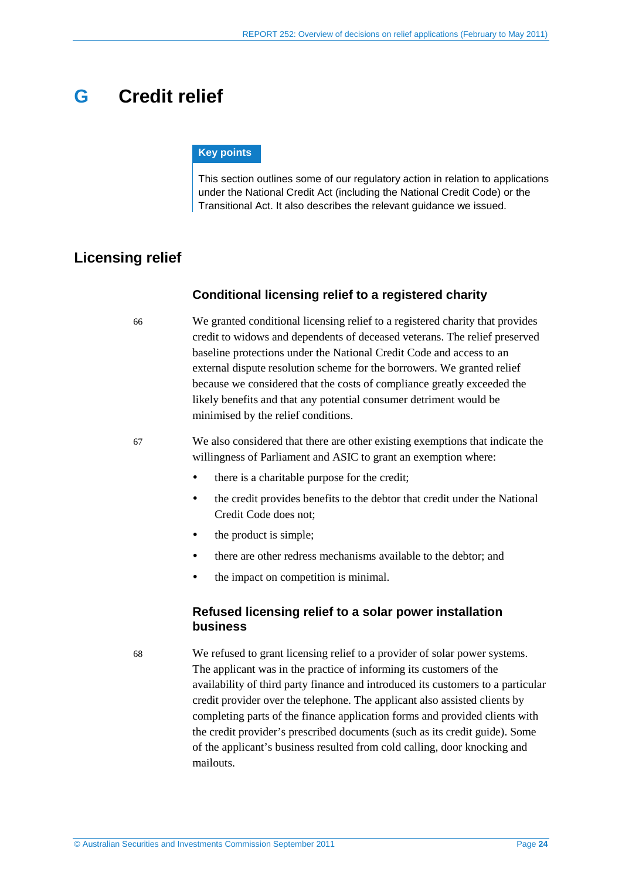## <span id="page-23-5"></span><span id="page-23-4"></span><span id="page-23-0"></span>**G Credit relief**

#### **Key points**

This section outlines some of our regulatory action in relation to applications under the National Credit Act (including the National Credit Code) or the Transitional Act. It also describes the relevant guidance we issued.

## <span id="page-23-2"></span><span id="page-23-1"></span>**Licensing relief**

#### **Conditional licensing relief to a registered charity**

66 We granted conditional licensing relief to a registered charity that provides credit to widows and dependents of deceased veterans. The relief preserved baseline protections under the National Credit Code and access to an external dispute resolution scheme for the borrowers. We granted relief because we considered that the costs of compliance greatly exceeded the likely benefits and that any potential consumer detriment would be minimised by the relief conditions.

<span id="page-23-3"></span>67 We also considered that there are other existing exemptions that indicate the willingness of Parliament and ASIC to grant an exemption where:

- there is a charitable purpose for the credit:
- the credit provides benefits to the debtor that credit under the National Credit Code does not;
- the product is simple;
- there are other redress mechanisms available to the debtor; and
- the impact on competition is minimal.

#### **Refused licensing relief to a solar power installation business**

68 We refused to grant licensing relief to a provider of solar power systems. The applicant was in the practice of informing its customers of the availability of third party finance and introduced its customers to a particular credit provider over the telephone. The applicant also assisted clients by completing parts of the finance application forms and provided clients with the credit provider's prescribed documents (such as its credit guide). Some of the applicant's business resulted from cold calling, door knocking and mailouts.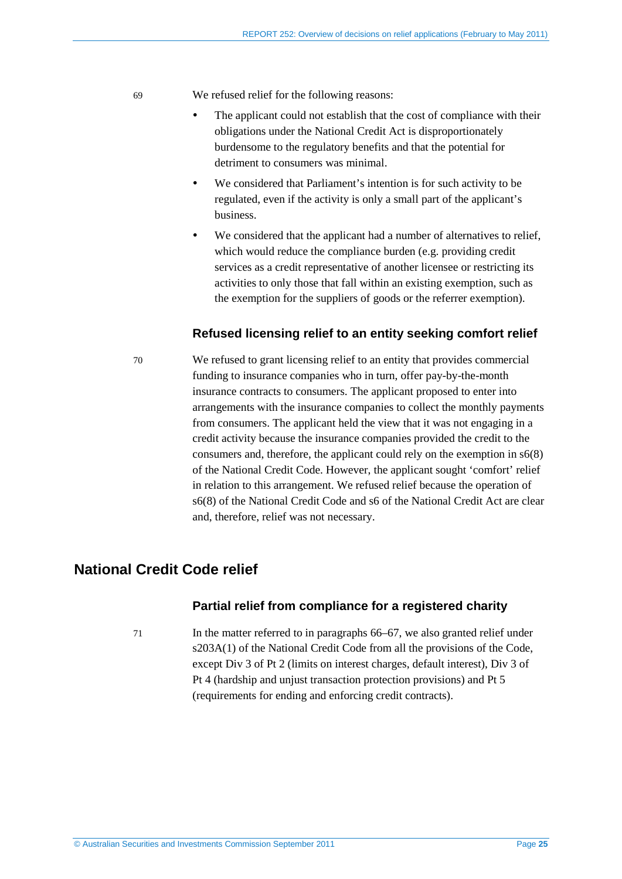69 We refused relief for the following reasons:

- The applicant could not establish that the cost of compliance with their obligations under the National Credit Act is disproportionately burdensome to the regulatory benefits and that the potential for detriment to consumers was minimal.
- We considered that Parliament's intention is for such activity to be regulated, even if the activity is only a small part of the applicant's business.
- We considered that the applicant had a number of alternatives to relief, which would reduce the compliance burden (e.g. providing credit services as a credit representative of another licensee or restricting its activities to only those that fall within an existing exemption, such as the exemption for the suppliers of goods or the referrer exemption).

#### **Refused licensing relief to an entity seeking comfort relief**

<span id="page-24-1"></span>70 We refused to grant licensing relief to an entity that provides commercial funding to insurance companies who in turn, offer pay-by-the-month insurance contracts to consumers. The applicant proposed to enter into arrangements with the insurance companies to collect the monthly payments from consumers. The applicant held the view that it was not engaging in a credit activity because the insurance companies provided the credit to the consumers and, therefore, the applicant could rely on the exemption in s6(8) of the National Credit Code. However, the applicant sought 'comfort' relief in relation to this arrangement. We refused relief because the operation of s6(8) of the National Credit Code and s6 of the National Credit Act are clear and, therefore, relief was not necessary.

## <span id="page-24-0"></span>**National Credit Code relief**

#### **Partial relief from compliance for a registered charity**

71 In the matter referred to in paragraphs [66–](#page-23-2)[67,](#page-23-3) we also granted relief under s203A(1) of the National Credit Code from all the provisions of the Code, except Div 3 of Pt 2 (limits on interest charges, default interest), Div 3 of Pt 4 (hardship and unjust transaction protection provisions) and Pt 5 (requirements for ending and enforcing credit contracts).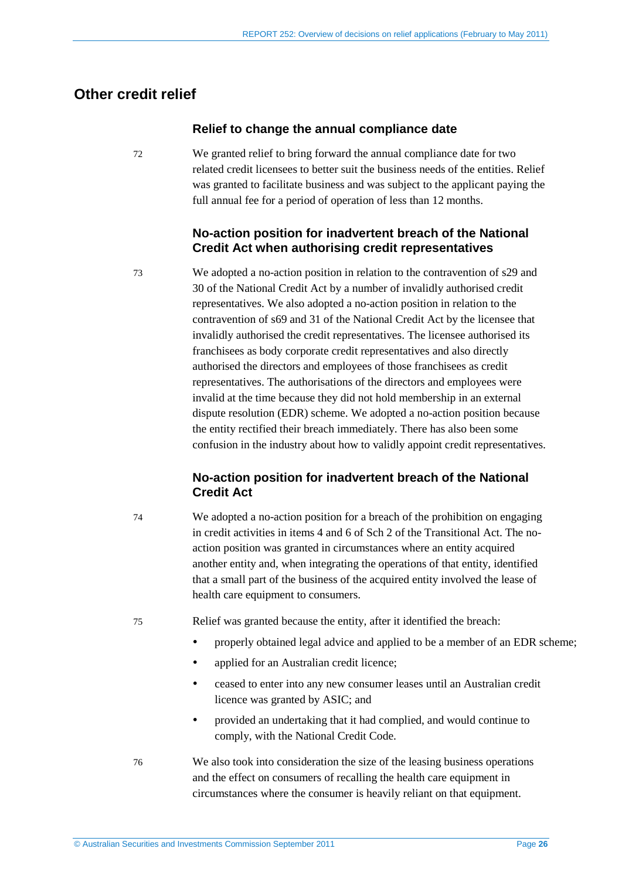## <span id="page-25-1"></span><span id="page-25-0"></span>**Other credit relief**

#### **Relief to change the annual compliance date**

72 We granted relief to bring forward the annual compliance date for two related credit licensees to better suit the business needs of the entities. Relief was granted to facilitate business and was subject to the applicant paying the full annual fee for a period of operation of less than 12 months.

### **No-action position for inadvertent breach of the National Credit Act when authorising credit representatives**

73 We adopted a no-action position in relation to the contravention of s29 and 30 of the National Credit Act by a number of invalidly authorised credit representatives. We also adopted a no-action position in relation to the contravention of s69 and 31 of the National Credit Act by the licensee that invalidly authorised the credit representatives. The licensee authorised its franchisees as body corporate credit representatives and also directly authorised the directors and employees of those franchisees as credit representatives. The authorisations of the directors and employees were invalid at the time because they did not hold membership in an external dispute resolution (EDR) scheme. We adopted a no-action position because the entity rectified their breach immediately. There has also been some confusion in the industry about how to validly appoint credit representatives.

### **No-action position for inadvertent breach of the National Credit Act**

74 We adopted a no-action position for a breach of the prohibition on engaging in credit activities in items 4 and 6 of Sch 2 of the Transitional Act. The noaction position was granted in circumstances where an entity acquired another entity and, when integrating the operations of that entity, identified that a small part of the business of the acquired entity involved the lease of health care equipment to consumers.

75 Relief was granted because the entity, after it identified the breach:

- properly obtained legal advice and applied to be a member of an EDR scheme;
- applied for an Australian credit licence;
- ceased to enter into any new consumer leases until an Australian credit licence was granted by ASIC; and
- provided an undertaking that it had complied, and would continue to comply, with the National Credit Code.
- 76 We also took into consideration the size of the leasing business operations and the effect on consumers of recalling the health care equipment in circumstances where the consumer is heavily reliant on that equipment.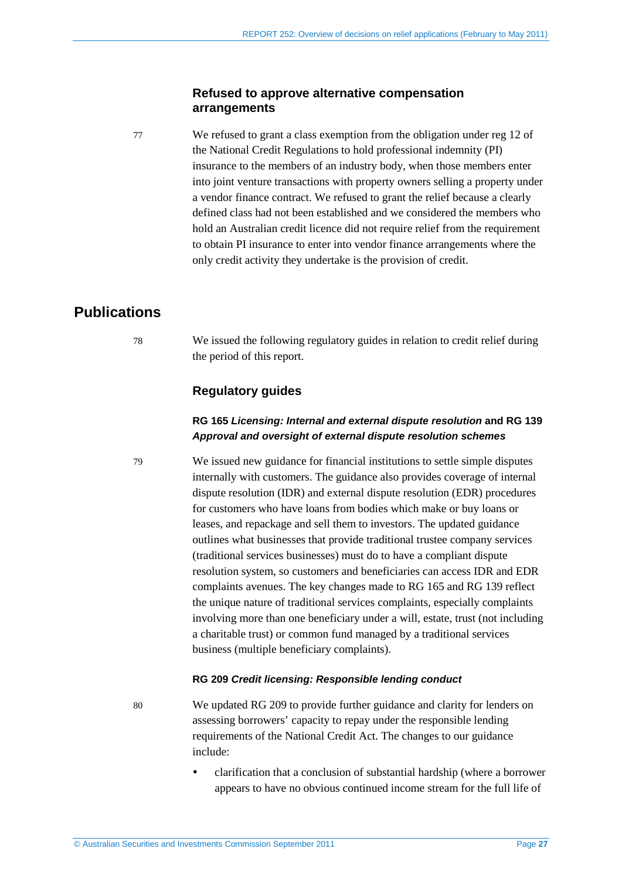#### **Refused to approve alternative compensation arrangements**

77 We refused to grant a class exemption from the obligation under reg 12 of the National Credit Regulations to hold professional indemnity (PI) insurance to the members of an industry body, when those members enter into joint venture transactions with property owners selling a property under a vendor finance contract. We refused to grant the relief because a clearly defined class had not been established and we considered the members who hold an Australian credit licence did not require relief from the requirement to obtain PI insurance to enter into vendor finance arrangements where the only credit activity they undertake is the provision of credit.

## <span id="page-26-0"></span>**Publications**

78 We issued the following regulatory guides in relation to credit relief during the period of this report.

### **Regulatory guides**

#### **RG 165** *Licensing: Internal and external dispute resolution* **and RG 139** *Approval and oversight of external dispute resolution schemes*

79 We issued new guidance for financial institutions to settle simple disputes internally with customers. The guidance also provides coverage of internal dispute resolution (IDR) and external dispute resolution (EDR) procedures for customers who have loans from bodies which make or buy loans or leases, and repackage and sell them to investors. The updated guidance outlines what businesses that provide traditional trustee company services (traditional services businesses) must do to have a compliant dispute resolution system, so customers and beneficiaries can access IDR and EDR complaints avenues. The key changes made to RG 165 and RG 139 reflect the unique nature of traditional services complaints, especially complaints involving more than one beneficiary under a will, estate, trust (not including a charitable trust) or common fund managed by a traditional services business (multiple beneficiary complaints).

#### **RG 209** *Credit licensing: Responsible lending conduct*

80 We updated RG 209 to provide further guidance and clarity for lenders on assessing borrowers' capacity to repay under the responsible lending requirements of the National Credit Act. The changes to our guidance include:

> clarification that a conclusion of substantial hardship (where a borrower appears to have no obvious continued income stream for the full life of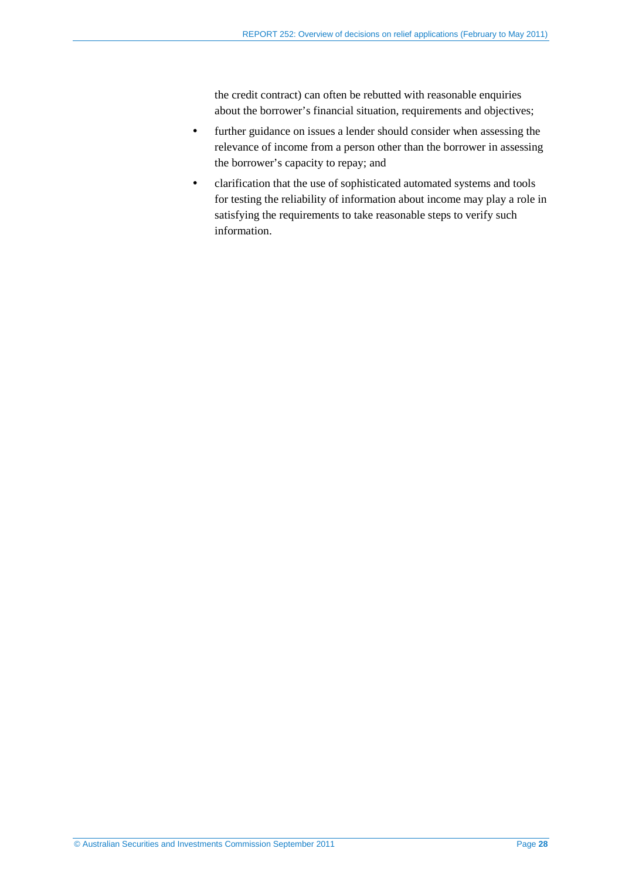the credit contract) can often be rebutted with reasonable enquiries about the borrower's financial situation, requirements and objectives;

- further guidance on issues a lender should consider when assessing the relevance of income from a person other than the borrower in assessing the borrower's capacity to repay; and
- clarification that the use of sophisticated automated systems and tools for testing the reliability of information about income may play a role in satisfying the requirements to take reasonable steps to verify such information.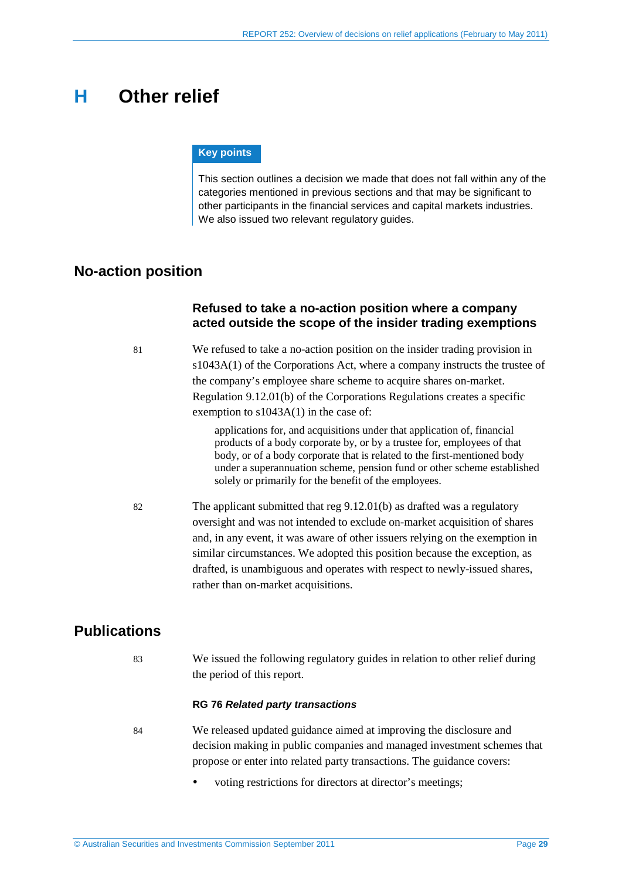## <span id="page-28-0"></span>**H Other relief**

#### **Key points**

This section outlines a decision we made that does not fall within any of the categories mentioned in previous sections and that may be significant to other participants in the financial services and capital markets industries. We also issued two relevant regulatory guides.

## <span id="page-28-1"></span>**No-action position**

### **Refused to take a no-action position where a company acted outside the scope of the insider trading exemptions**

81 We refused to take a no-action position on the insider trading provision in s1043A(1) of the Corporations Act, where a company instructs the trustee of the company's employee share scheme to acquire shares on-market. Regulation 9.12.01(b) of the Corporations Regulations creates a specific exemption to s1043A(1) in the case of:

> applications for, and acquisitions under that application of, financial products of a body corporate by, or by a trustee for, employees of that body, or of a body corporate that is related to the first-mentioned body under a superannuation scheme, pension fund or other scheme established solely or primarily for the benefit of the employees.

82 The applicant submitted that reg 9.12.01(b) as drafted was a regulatory oversight and was not intended to exclude on-market acquisition of shares and, in any event, it was aware of other issuers relying on the exemption in similar circumstances. We adopted this position because the exception, as drafted, is unambiguous and operates with respect to newly-issued shares, rather than on-market acquisitions.

## <span id="page-28-2"></span>**Publications**

83 We issued the following regulatory guides in relation to other relief during the period of this report.

#### **RG 76** *Related party transactions*

- 84 We released updated guidance aimed at improving the disclosure and decision making in public companies and managed investment schemes that propose or enter into related party transactions. The guidance covers:
	- voting restrictions for directors at director's meetings;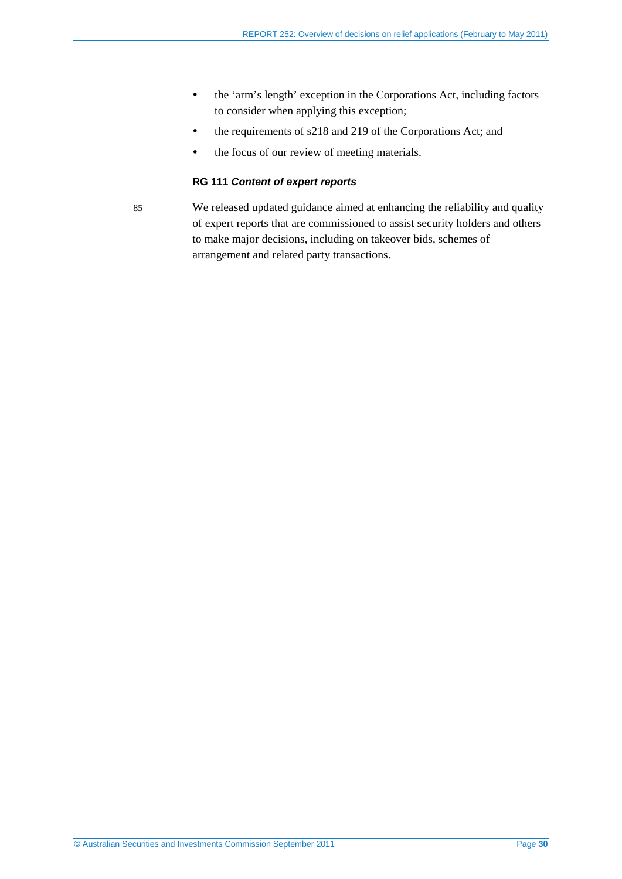- the 'arm's length' exception in the Corporations Act, including factors to consider when applying this exception;
- the requirements of s218 and 219 of the Corporations Act; and
- the focus of our review of meeting materials.

#### **RG 111** *Content of expert reports*

85 We released updated guidance aimed at enhancing the reliability and quality of expert reports that are commissioned to assist security holders and others to make major decisions, including on takeover bids, schemes of arrangement and related party transactions.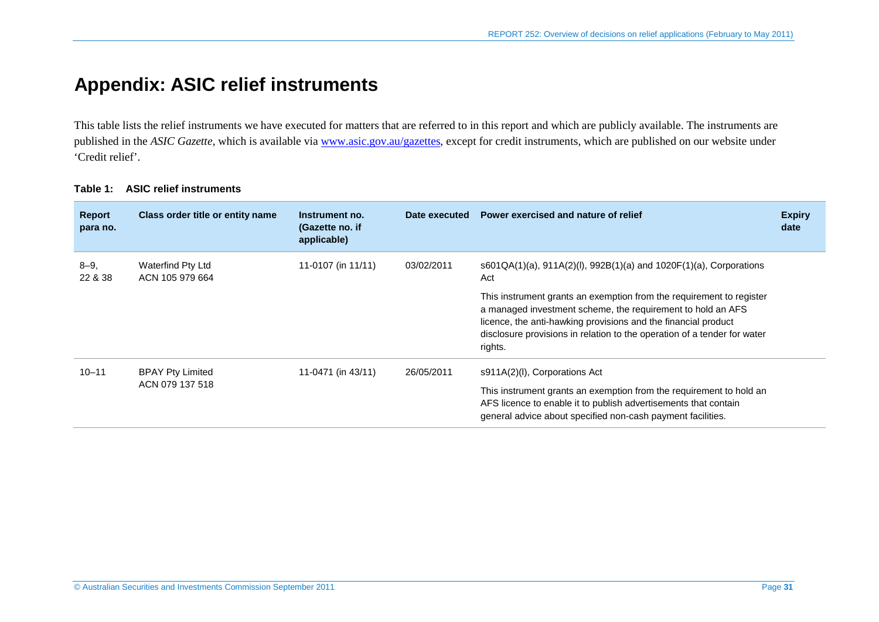## **Appendix: ASIC relief instruments**

This table lists the relief instruments we have executed for matters that are referred to in this report and which are publicly available. The instruments are published in the *ASIC Gazette*, which is available via [www.asic.gov.au/gazettes,](http://www.asic.gov.au/gazettes) except for credit instruments, which are published on our website under 'Credit relief'.

<span id="page-30-0"></span>

| <b>Report</b><br>para no. | Class order title or entity name           | Instrument no.<br>(Gazette no. if<br>applicable) | Date executed | Power exercised and nature of relief                                                                                                                                                                                                                                                         | <b>Expiry</b><br>date |
|---------------------------|--------------------------------------------|--------------------------------------------------|---------------|----------------------------------------------------------------------------------------------------------------------------------------------------------------------------------------------------------------------------------------------------------------------------------------------|-----------------------|
| $8 - 9$<br>22 & 38        | Waterfind Pty Ltd<br>ACN 105 979 664       | 11-0107 (in 11/11)                               | 03/02/2011    | $s601QA(1)(a)$ , $911A(2)(I)$ , $992B(1)(a)$ and $1020F(1)(a)$ , Corporations<br>Act                                                                                                                                                                                                         |                       |
|                           |                                            |                                                  |               | This instrument grants an exemption from the requirement to register<br>a managed investment scheme, the requirement to hold an AFS<br>licence, the anti-hawking provisions and the financial product<br>disclosure provisions in relation to the operation of a tender for water<br>rights. |                       |
| $10 - 11$                 | <b>BPAY Pty Limited</b><br>ACN 079 137 518 | 11-0471 (in 43/11)                               | 26/05/2011    | s911A(2)(I), Corporations Act                                                                                                                                                                                                                                                                |                       |
|                           |                                            |                                                  |               | This instrument grants an exemption from the requirement to hold an<br>AFS licence to enable it to publish advertisements that contain<br>general advice about specified non-cash payment facilities.                                                                                        |                       |

#### **Table 1: ASIC relief instruments**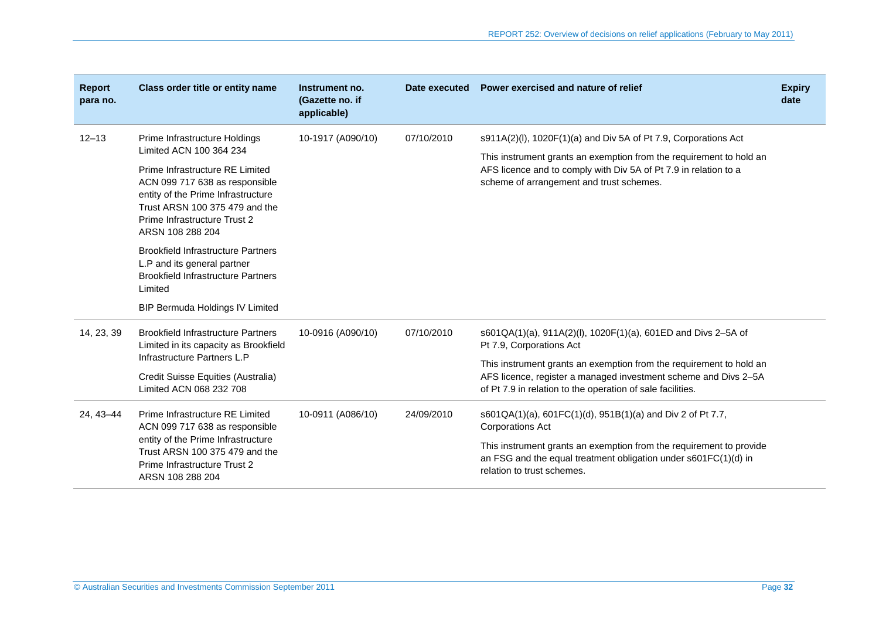| <b>Report</b><br>para no. | Class order title or entity name                                                                                                                                                              | Instrument no.<br>(Gazette no. if<br>applicable) |            | Date executed Power exercised and nature of relief                                                                                                                                                                                                     | <b>Expiry</b><br>date |
|---------------------------|-----------------------------------------------------------------------------------------------------------------------------------------------------------------------------------------------|--------------------------------------------------|------------|--------------------------------------------------------------------------------------------------------------------------------------------------------------------------------------------------------------------------------------------------------|-----------------------|
| $12 - 13$                 | Prime Infrastructure Holdings<br>Limited ACN 100 364 234                                                                                                                                      | 10-1917 (A090/10)                                | 07/10/2010 | s911A(2)(I), 1020F(1)(a) and Div 5A of Pt 7.9, Corporations Act<br>This instrument grants an exemption from the requirement to hold an<br>AFS licence and to comply with Div 5A of Pt 7.9 in relation to a<br>scheme of arrangement and trust schemes. |                       |
|                           | Prime Infrastructure RE Limited<br>ACN 099 717 638 as responsible<br>entity of the Prime Infrastructure<br>Trust ARSN 100 375 479 and the<br>Prime Infrastructure Trust 2<br>ARSN 108 288 204 |                                                  |            |                                                                                                                                                                                                                                                        |                       |
|                           | <b>Brookfield Infrastructure Partners</b><br>L.P and its general partner<br><b>Brookfield Infrastructure Partners</b><br>Limited                                                              |                                                  |            |                                                                                                                                                                                                                                                        |                       |
|                           | <b>BIP Bermuda Holdings IV Limited</b>                                                                                                                                                        |                                                  |            |                                                                                                                                                                                                                                                        |                       |
| 14, 23, 39                | <b>Brookfield Infrastructure Partners</b><br>Limited in its capacity as Brookfield                                                                                                            | 10-0916 (A090/10)                                | 07/10/2010 | s601QA(1)(a), 911A(2)(l), 1020F(1)(a), 601ED and Divs 2-5A of<br>Pt 7.9, Corporations Act                                                                                                                                                              |                       |
|                           | Infrastructure Partners L.P<br>Credit Suisse Equities (Australia)<br>Limited ACN 068 232 708                                                                                                  |                                                  |            | This instrument grants an exemption from the requirement to hold an<br>AFS licence, register a managed investment scheme and Divs 2-5A<br>of Pt 7.9 in relation to the operation of sale facilities.                                                   |                       |
| 24, 43-44                 | Prime Infrastructure RE Limited<br>ACN 099 717 638 as responsible<br>entity of the Prime Infrastructure<br>Trust ARSN 100 375 479 and the<br>Prime Infrastructure Trust 2<br>ARSN 108 288 204 | 10-0911 (A086/10)                                | 24/09/2010 | s601QA(1)(a), 601FC(1)(d), 951B(1)(a) and Div 2 of Pt 7.7,<br><b>Corporations Act</b>                                                                                                                                                                  |                       |
|                           |                                                                                                                                                                                               |                                                  |            | This instrument grants an exemption from the requirement to provide<br>an FSG and the equal treatment obligation under s601FC(1)(d) in<br>relation to trust schemes.                                                                                   |                       |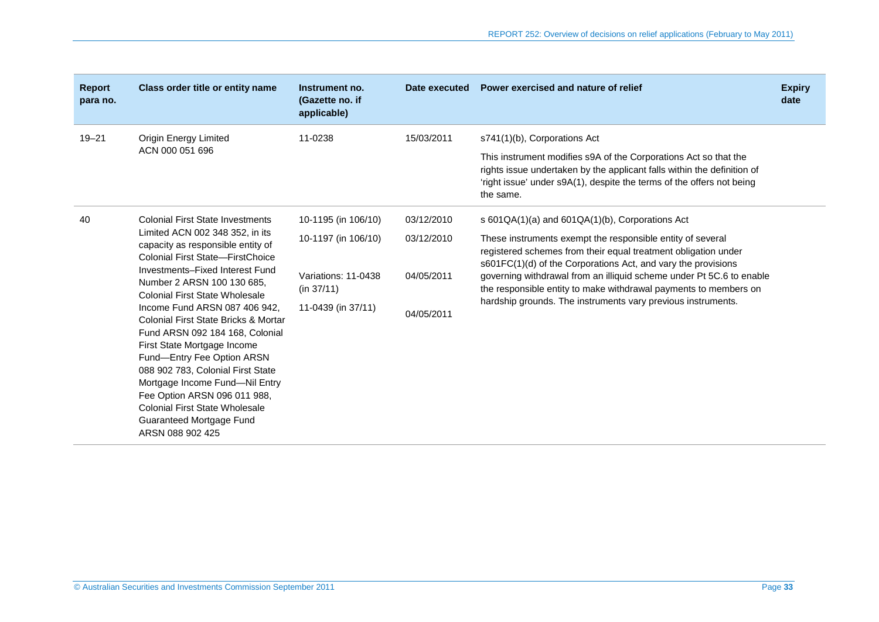| <b>Report</b><br>para no. | Class order title or entity name                                                                                                                                                                                                                                                                                                                                                                                                                                                                                                                                                                                         | Instrument no.<br>(Gazette no. if<br>applicable) | Date executed | Power exercised and nature of relief                                                                                                                                                                                                                                                                                                                                                                      | <b>Expiry</b><br>date |
|---------------------------|--------------------------------------------------------------------------------------------------------------------------------------------------------------------------------------------------------------------------------------------------------------------------------------------------------------------------------------------------------------------------------------------------------------------------------------------------------------------------------------------------------------------------------------------------------------------------------------------------------------------------|--------------------------------------------------|---------------|-----------------------------------------------------------------------------------------------------------------------------------------------------------------------------------------------------------------------------------------------------------------------------------------------------------------------------------------------------------------------------------------------------------|-----------------------|
| $19 - 21$                 | <b>Origin Energy Limited</b><br>ACN 000 051 696                                                                                                                                                                                                                                                                                                                                                                                                                                                                                                                                                                          | 11-0238                                          | 15/03/2011    | s741(1)(b), Corporations Act                                                                                                                                                                                                                                                                                                                                                                              |                       |
|                           |                                                                                                                                                                                                                                                                                                                                                                                                                                                                                                                                                                                                                          |                                                  |               | This instrument modifies s9A of the Corporations Act so that the<br>rights issue undertaken by the applicant falls within the definition of<br>'right issue' under s9A(1), despite the terms of the offers not being<br>the same.                                                                                                                                                                         |                       |
| 40                        | <b>Colonial First State Investments</b><br>Limited ACN 002 348 352, in its<br>capacity as responsible entity of<br>Colonial First State-FirstChoice<br>Investments-Fixed Interest Fund<br>Number 2 ARSN 100 130 685.<br>Colonial First State Wholesale<br>Income Fund ARSN 087 406 942,<br>Colonial First State Bricks & Mortar<br>Fund ARSN 092 184 168, Colonial<br>First State Mortgage Income<br>Fund-Entry Fee Option ARSN<br>088 902 783, Colonial First State<br>Mortgage Income Fund-Nil Entry<br>Fee Option ARSN 096 011 988,<br>Colonial First State Wholesale<br>Guaranteed Mortgage Fund<br>ARSN 088 902 425 | 10-1195 (in 106/10)                              | 03/12/2010    | s 601QA(1)(a) and 601QA(1)(b), Corporations Act                                                                                                                                                                                                                                                                                                                                                           |                       |
|                           |                                                                                                                                                                                                                                                                                                                                                                                                                                                                                                                                                                                                                          | 10-1197 (in 106/10)                              | 03/12/2010    | These instruments exempt the responsible entity of several<br>registered schemes from their equal treatment obligation under<br>s601FC(1)(d) of the Corporations Act, and vary the provisions<br>governing withdrawal from an illiquid scheme under Pt 5C.6 to enable<br>the responsible entity to make withdrawal payments to members on<br>hardship grounds. The instruments vary previous instruments. |                       |
|                           |                                                                                                                                                                                                                                                                                                                                                                                                                                                                                                                                                                                                                          | Variations: 11-0438<br>(in 37/11)                | 04/05/2011    |                                                                                                                                                                                                                                                                                                                                                                                                           |                       |
|                           |                                                                                                                                                                                                                                                                                                                                                                                                                                                                                                                                                                                                                          | 11-0439 (in 37/11)                               | 04/05/2011    |                                                                                                                                                                                                                                                                                                                                                                                                           |                       |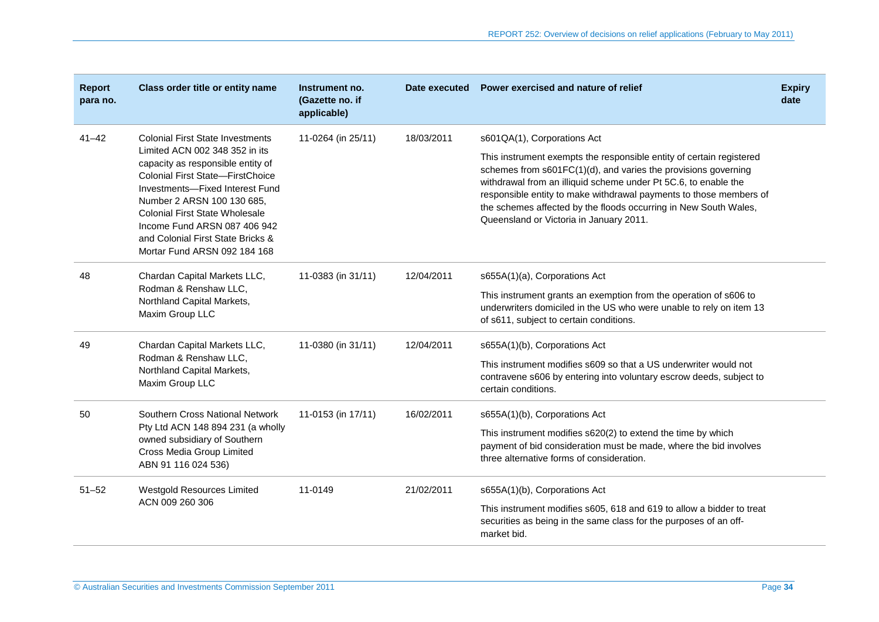| <b>Report</b><br>para no. | Class order title or entity name                                                                                                                                                                                                                                                                                                                                         | Instrument no.<br>(Gazette no. if<br>applicable) |            | Date executed Power exercised and nature of relief                                                                                                                                                                                                                                                                                                                                                                            | <b>Expiry</b><br>date |
|---------------------------|--------------------------------------------------------------------------------------------------------------------------------------------------------------------------------------------------------------------------------------------------------------------------------------------------------------------------------------------------------------------------|--------------------------------------------------|------------|-------------------------------------------------------------------------------------------------------------------------------------------------------------------------------------------------------------------------------------------------------------------------------------------------------------------------------------------------------------------------------------------------------------------------------|-----------------------|
| $41 - 42$                 | <b>Colonial First State Investments</b><br>Limited ACN 002 348 352 in its<br>capacity as responsible entity of<br><b>Colonial First State-FirstChoice</b><br>Investments-Fixed Interest Fund<br>Number 2 ARSN 100 130 685,<br><b>Colonial First State Wholesale</b><br>Income Fund ARSN 087 406 942<br>and Colonial First State Bricks &<br>Mortar Fund ARSN 092 184 168 | 11-0264 (in 25/11)                               | 18/03/2011 | s601QA(1), Corporations Act<br>This instrument exempts the responsible entity of certain registered<br>schemes from s601FC(1)(d), and varies the provisions governing<br>withdrawal from an illiquid scheme under Pt 5C.6, to enable the<br>responsible entity to make withdrawal payments to those members of<br>the schemes affected by the floods occurring in New South Wales,<br>Queensland or Victoria in January 2011. |                       |
| 48                        | Chardan Capital Markets LLC,<br>Rodman & Renshaw LLC,<br>Northland Capital Markets,<br>Maxim Group LLC                                                                                                                                                                                                                                                                   | 11-0383 (in 31/11)                               | 12/04/2011 | s655A(1)(a), Corporations Act<br>This instrument grants an exemption from the operation of s606 to<br>underwriters domiciled in the US who were unable to rely on item 13<br>of s611, subject to certain conditions.                                                                                                                                                                                                          |                       |
| 49                        | Chardan Capital Markets LLC,<br>Rodman & Renshaw LLC,<br>Northland Capital Markets,<br>Maxim Group LLC                                                                                                                                                                                                                                                                   | 11-0380 (in 31/11)                               | 12/04/2011 | s655A(1)(b), Corporations Act<br>This instrument modifies s609 so that a US underwriter would not<br>contravene s606 by entering into voluntary escrow deeds, subject to<br>certain conditions.                                                                                                                                                                                                                               |                       |
| 50                        | Southern Cross National Network<br>Pty Ltd ACN 148 894 231 (a wholly<br>owned subsidiary of Southern<br>Cross Media Group Limited<br>ABN 91 116 024 536)                                                                                                                                                                                                                 | 11-0153 (in 17/11)                               | 16/02/2011 | s655A(1)(b), Corporations Act<br>This instrument modifies s620(2) to extend the time by which<br>payment of bid consideration must be made, where the bid involves<br>three alternative forms of consideration.                                                                                                                                                                                                               |                       |
| $51 - 52$                 | Westgold Resources Limited<br>ACN 009 260 306                                                                                                                                                                                                                                                                                                                            | 11-0149                                          | 21/02/2011 | s655A(1)(b), Corporations Act<br>This instrument modifies s605, 618 and 619 to allow a bidder to treat<br>securities as being in the same class for the purposes of an off-<br>market bid.                                                                                                                                                                                                                                    |                       |